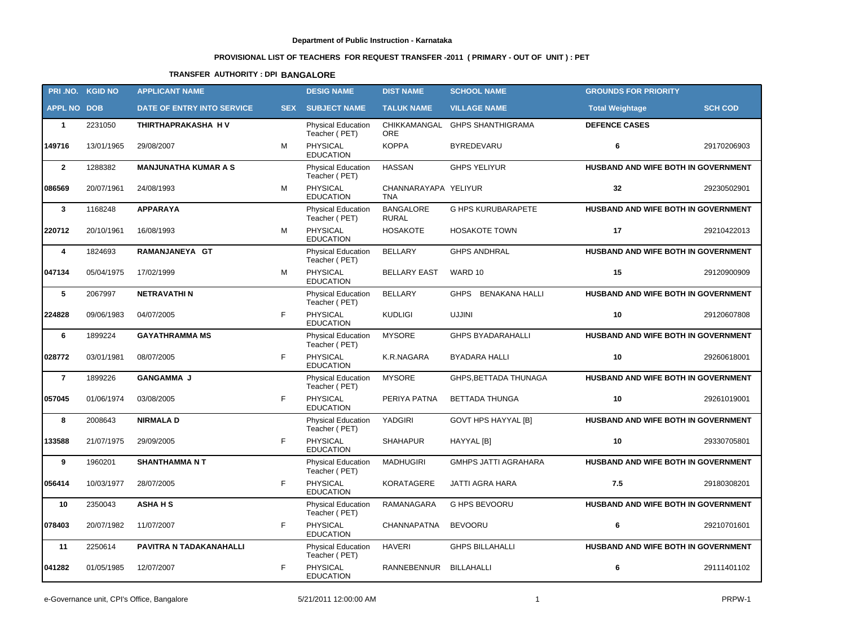# **PROVISIONAL LIST OF TEACHERS FOR REQUEST TRANSFER -2011 ( PRIMARY - OUT OF UNIT ) : PET**

# **TRANSFER AUTHORITY : DPI BANGALORE**

|                    | PRI.NO. KGID NO | <b>APPLICANT NAME</b>             |            | <b>DESIG NAME</b>                          | <b>DIST NAME</b>                   | <b>SCHOOL NAME</b>          | <b>GROUNDS FOR PRIORITY</b>         |                |
|--------------------|-----------------|-----------------------------------|------------|--------------------------------------------|------------------------------------|-----------------------------|-------------------------------------|----------------|
| <b>APPL NO DOB</b> |                 | <b>DATE OF ENTRY INTO SERVICE</b> | <b>SEX</b> | <b>SUBJECT NAME</b>                        | <b>TALUK NAME</b>                  | <b>VILLAGE NAME</b>         | <b>Total Weightage</b>              | <b>SCH COD</b> |
| $\mathbf{1}$       | 2231050         | THIRTHAPRAKASHA HV                |            | <b>Physical Education</b><br>Teacher (PET) | CHIKKAMANGAL<br><b>ORE</b>         | <b>GHPS SHANTHIGRAMA</b>    | <b>DEFENCE CASES</b>                |                |
| 149716             | 13/01/1965      | 29/08/2007                        | М          | PHYSICAL<br><b>EDUCATION</b>               | <b>KOPPA</b>                       | BYREDEVARU                  | 6                                   | 29170206903    |
| $\overline{2}$     | 1288382         | <b>MANJUNATHA KUMAR A S</b>       |            | <b>Physical Education</b><br>Teacher (PET) | <b>HASSAN</b>                      | <b>GHPS YELIYUR</b>         | HUSBAND AND WIFE BOTH IN GOVERNMENT |                |
| 086569             | 20/07/1961      | 24/08/1993                        | M          | PHYSICAL<br><b>EDUCATION</b>               | CHANNARAYAPA YELIYUR<br><b>TNA</b> |                             | 32                                  | 29230502901    |
| $\mathbf{3}$       | 1168248         | <b>APPARAYA</b>                   |            | <b>Physical Education</b><br>Teacher (PET) | <b>BANGALORE</b><br><b>RURAL</b>   | <b>G HPS KURUBARAPETE</b>   | HUSBAND AND WIFE BOTH IN GOVERNMENT |                |
| 220712             | 20/10/1961      | 16/08/1993                        | M          | PHYSICAL<br><b>EDUCATION</b>               | <b>HOSAKOTE</b>                    | <b>HOSAKOTE TOWN</b>        | 17                                  | 29210422013    |
| 4                  | 1824693         | RAMANJANEYA GT                    |            | Physical Education<br>Teacher (PET)        | <b>BELLARY</b>                     | <b>GHPS ANDHRAL</b>         | HUSBAND AND WIFE BOTH IN GOVERNMENT |                |
| 047134             | 05/04/1975      | 17/02/1999                        | M          | <b>PHYSICAL</b><br><b>EDUCATION</b>        | <b>BELLARY EAST</b>                | WARD 10                     | 15                                  | 29120900909    |
| 5                  | 2067997         | <b>NETRAVATHIN</b>                |            | <b>Physical Education</b><br>Teacher (PET) | <b>BELLARY</b>                     | GHPS BENAKANA HALLI         | HUSBAND AND WIFE BOTH IN GOVERNMENT |                |
| 224828             | 09/06/1983      | 04/07/2005                        | F          | PHYSICAL<br><b>EDUCATION</b>               | <b>KUDLIGI</b>                     | <b>UJJINI</b>               | 10                                  | 29120607808    |
| 6                  | 1899224         | <b>GAYATHRAMMA MS</b>             |            | <b>Physical Education</b><br>Teacher (PET) | <b>MYSORE</b>                      | <b>GHPS BYADARAHALLI</b>    | HUSBAND AND WIFE BOTH IN GOVERNMENT |                |
| 028772             | 03/01/1981      | 08/07/2005                        | F          | <b>PHYSICAL</b><br><b>EDUCATION</b>        | K.R.NAGARA                         | BYADARA HALLI               | 10                                  | 29260618001    |
| $\overline{7}$     | 1899226         | <b>GANGAMMA J</b>                 |            | Physical Education<br>Teacher (PET)        | <b>MYSORE</b>                      | GHPS, BETTADA THUNAGA       | HUSBAND AND WIFE BOTH IN GOVERNMENT |                |
| 057045             | 01/06/1974      | 03/08/2005                        | F          | <b>PHYSICAL</b><br><b>EDUCATION</b>        | PERIYA PATNA                       | <b>BETTADA THUNGA</b>       | 10                                  | 29261019001    |
| 8                  | 2008643         | <b>NIRMALAD</b>                   |            | <b>Physical Education</b><br>Teacher (PET) | YADGIRI                            | <b>GOVT HPS HAYYAL [B]</b>  | HUSBAND AND WIFE BOTH IN GOVERNMENT |                |
| 133588             | 21/07/1975      | 29/09/2005                        | F.         | <b>PHYSICAL</b><br><b>EDUCATION</b>        | <b>SHAHAPUR</b>                    | HAYYAL [B]                  | 10                                  | 29330705801    |
| 9                  | 1960201         | <b>SHANTHAMMA N T</b>             |            | Physical Education<br>Teacher (PET)        | <b>MADHUGIRI</b>                   | <b>GMHPS JATTI AGRAHARA</b> | HUSBAND AND WIFE BOTH IN GOVERNMENT |                |
| 056414             | 10/03/1977      | 28/07/2005                        | F.         | <b>PHYSICAL</b><br><b>EDUCATION</b>        | <b>KORATAGERE</b>                  | JATTI AGRA HARA             | 7.5                                 | 29180308201    |
| 10                 | 2350043         | <b>ASHAHS</b>                     |            | <b>Physical Education</b><br>Teacher (PET) | RAMANAGARA                         | G HPS BEVOORU               | HUSBAND AND WIFE BOTH IN GOVERNMENT |                |
| 078403             | 20/07/1982      | 11/07/2007                        | F.         | <b>PHYSICAL</b><br><b>EDUCATION</b>        | CHANNAPATNA                        | <b>BEVOORU</b>              | 6                                   | 29210701601    |
| 11                 | 2250614         | PAVITRA N TADAKANAHALLI           |            | <b>Physical Education</b><br>Teacher (PET) | <b>HAVERI</b>                      | <b>GHPS BILLAHALLI</b>      | HUSBAND AND WIFE BOTH IN GOVERNMENT |                |
| 041282             | 01/05/1985      | 12/07/2007                        | F          | <b>PHYSICAL</b><br><b>EDUCATION</b>        | RANNEBENNUR                        | BILLAHALLI                  | 6                                   | 29111401102    |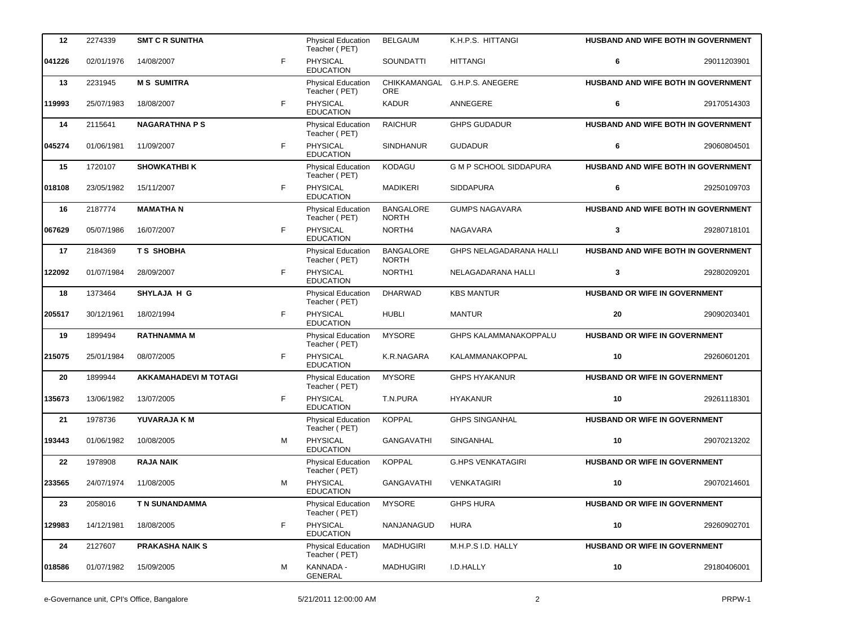| 12     | 2274339    | <b>SMT C R SUNITHA</b>       |    | Physical Education<br>Teacher (PET)        | <b>BELGAUM</b>                   | K.H.P.S. HITTANGI              |                                      | <b>HUSBAND AND WIFE BOTH IN GOVERNMENT</b> |
|--------|------------|------------------------------|----|--------------------------------------------|----------------------------------|--------------------------------|--------------------------------------|--------------------------------------------|
| 041226 | 02/01/1976 | 14/08/2007                   | F  | <b>PHYSICAL</b><br><b>EDUCATION</b>        | SOUNDATTI                        | <b>HITTANGI</b>                | 6                                    | 29011203901                                |
| 13     | 2231945    | <b>MS SUMITRA</b>            |    | <b>Physical Education</b><br>Teacher (PET) | CHIKKAMANGAL<br><b>ORE</b>       | G.H.P.S. ANEGERE               |                                      | HUSBAND AND WIFE BOTH IN GOVERNMENT        |
| 119993 | 25/07/1983 | 18/08/2007                   | F. | PHYSICAL<br><b>EDUCATION</b>               | <b>KADUR</b>                     | ANNEGERE                       | 6                                    | 29170514303                                |
| 14     | 2115641    | <b>NAGARATHNA PS</b>         |    | Physical Education<br>Teacher (PET)        | <b>RAICHUR</b>                   | <b>GHPS GUDADUR</b>            |                                      | HUSBAND AND WIFE BOTH IN GOVERNMENT        |
| 045274 | 01/06/1981 | 11/09/2007                   | F. | <b>PHYSICAL</b><br><b>EDUCATION</b>        | <b>SINDHANUR</b>                 | <b>GUDADUR</b>                 | 6                                    | 29060804501                                |
| 15     | 1720107    | <b>SHOWKATHBIK</b>           |    | Physical Education<br>Teacher (PET)        | <b>KODAGU</b>                    | <b>G M P SCHOOL SIDDAPURA</b>  |                                      | HUSBAND AND WIFE BOTH IN GOVERNMENT        |
| 018108 | 23/05/1982 | 15/11/2007                   | F. | PHYSICAL<br><b>EDUCATION</b>               | <b>MADIKERI</b>                  | <b>SIDDAPURA</b>               | 6                                    | 29250109703                                |
| 16     | 2187774    | <b>MAMATHAN</b>              |    | Physical Education<br>Teacher (PET)        | <b>BANGALORE</b><br><b>NORTH</b> | <b>GUMPS NAGAVARA</b>          |                                      | HUSBAND AND WIFE BOTH IN GOVERNMENT        |
| 067629 | 05/07/1986 | 16/07/2007                   | F. | <b>PHYSICAL</b><br><b>EDUCATION</b>        | NORTH4                           | NAGAVARA                       | 3                                    | 29280718101                                |
| 17     | 2184369    | <b>TS SHOBHA</b>             |    | Physical Education<br>Teacher (PET)        | <b>BANGALORE</b><br><b>NORTH</b> | <b>GHPS NELAGADARANA HALLI</b> |                                      | HUSBAND AND WIFE BOTH IN GOVERNMENT        |
| 122092 | 01/07/1984 | 28/09/2007                   | F  | PHYSICAL<br><b>EDUCATION</b>               | NORTH1                           | NELAGADARANA HALLI             | 3                                    | 29280209201                                |
| 18     | 1373464    | SHYLAJA H G                  |    | Physical Education<br>Teacher (PET)        | <b>DHARWAD</b>                   | <b>KBS MANTUR</b>              | HUSBAND OR WIFE IN GOVERNMENT        |                                            |
| 205517 | 30/12/1961 | 18/02/1994                   | F. | <b>PHYSICAL</b><br><b>EDUCATION</b>        | <b>HUBLI</b>                     | <b>MANTUR</b>                  | 20                                   | 29090203401                                |
| 19     | 1899494    | <b>RATHNAMMA M</b>           |    | Physical Education<br>Teacher (PET)        | <b>MYSORE</b>                    | GHPS KALAMMANAKOPPALU          | <b>HUSBAND OR WIFE IN GOVERNMENT</b> |                                            |
| 215075 | 25/01/1984 | 08/07/2005                   | F. | PHYSICAL<br><b>EDUCATION</b>               | K.R.NAGARA                       | KALAMMANAKOPPAL                | 10                                   | 29260601201                                |
| 20     | 1899944    | <b>AKKAMAHADEVI M TOTAGI</b> |    | Physical Education<br>Teacher (PET)        | <b>MYSORE</b>                    | <b>GHPS HYAKANUR</b>           | HUSBAND OR WIFE IN GOVERNMENT        |                                            |
| 135673 | 13/06/1982 | 13/07/2005                   | F. | PHYSICAL<br><b>EDUCATION</b>               | T.N.PURA                         | <b>HYAKANUR</b>                | 10                                   | 29261118301                                |
| 21     | 1978736    | YUVARAJA K M                 |    | Physical Education<br>Teacher (PET)        | <b>KOPPAL</b>                    | <b>GHPS SINGANHAL</b>          | HUSBAND OR WIFE IN GOVERNMENT        |                                            |
| 193443 | 01/06/1982 | 10/08/2005                   | M  | PHYSICAL<br><b>EDUCATION</b>               | <b>GANGAVATHI</b>                | SINGANHAL                      | 10                                   | 29070213202                                |
| 22     | 1978908    | <b>RAJA NAIK</b>             |    | Physical Education<br>Teacher (PET)        | <b>KOPPAL</b>                    | <b>G.HPS VENKATAGIRI</b>       | <b>HUSBAND OR WIFE IN GOVERNMENT</b> |                                            |
| 233565 | 24/07/1974 | 11/08/2005                   | м  | PHYSICAL<br><b>EDUCATION</b>               | <b>GANGAVATHI</b>                | <b>VENKATAGIRI</b>             | 10                                   | 29070214601                                |
| 23     | 2058016    | T N SUNANDAMMA               |    | Physical Education<br>Teacher (PET)        | <b>MYSORE</b>                    | <b>GHPS HURA</b>               | <b>HUSBAND OR WIFE IN GOVERNMENT</b> |                                            |
| 129983 | 14/12/1981 | 18/08/2005                   | F  | PHYSICAL<br><b>EDUCATION</b>               | NANJANAGUD                       | <b>HURA</b>                    | 10                                   | 29260902701                                |
| 24     | 2127607    | <b>PRAKASHA NAIK S</b>       |    | Physical Education<br>Teacher (PET)        | <b>MADHUGIRI</b>                 | M.H.P.S I.D. HALLY             | <b>HUSBAND OR WIFE IN GOVERNMENT</b> |                                            |
| 018586 | 01/07/1982 | 15/09/2005                   | м  | KANNADA -<br>GENERAL                       | <b>MADHUGIRI</b>                 | I.D.HALLY                      | 10                                   | 29180406001                                |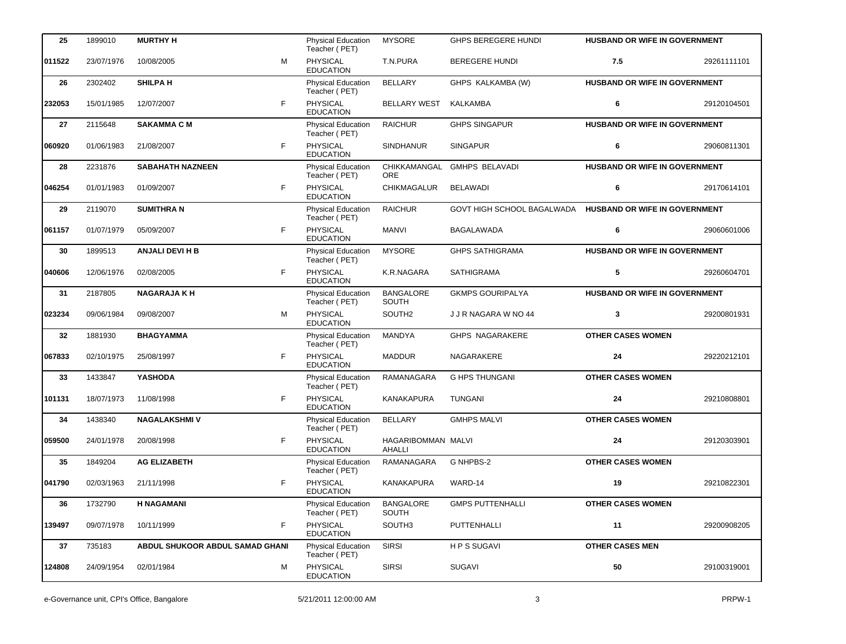| 25     | 1899010    | <b>MURTHY H</b>                 |    | <b>Physical Education</b><br>Teacher (PET) | <b>MYSORE</b>                | <b>GHPS BEREGERE HUNDI</b> | HUSBAND OR WIFE IN GOVERNMENT        |             |
|--------|------------|---------------------------------|----|--------------------------------------------|------------------------------|----------------------------|--------------------------------------|-------------|
| 011522 | 23/07/1976 | 10/08/2005                      | M  | PHYSICAL<br><b>EDUCATION</b>               | T.N.PURA                     | <b>BEREGERE HUNDI</b>      | 7.5                                  | 29261111101 |
| 26     | 2302402    | <b>SHILPAH</b>                  |    | <b>Physical Education</b><br>Teacher (PET) | <b>BELLARY</b>               | GHPS KALKAMBA (W)          | HUSBAND OR WIFE IN GOVERNMENT        |             |
| 232053 | 15/01/1985 | 12/07/2007                      | F  | PHYSICAL<br><b>EDUCATION</b>               | <b>BELLARY WEST</b>          | KALKAMBA                   | 6                                    | 29120104501 |
| 27     | 2115648    | <b>SAKAMMA C M</b>              |    | Physical Education<br>Teacher (PET)        | <b>RAICHUR</b>               | <b>GHPS SINGAPUR</b>       | HUSBAND OR WIFE IN GOVERNMENT        |             |
| 060920 | 01/06/1983 | 21/08/2007                      | F  | <b>PHYSICAL</b><br><b>EDUCATION</b>        | <b>SINDHANUR</b>             | <b>SINGAPUR</b>            | 6                                    | 29060811301 |
| 28     | 2231876    | <b>SABAHATH NAZNEEN</b>         |    | <b>Physical Education</b><br>Teacher (PET) | CHIKKAMANGAL<br><b>ORE</b>   | <b>GMHPS BELAVADI</b>      | <b>HUSBAND OR WIFE IN GOVERNMENT</b> |             |
| 046254 | 01/01/1983 | 01/09/2007                      | F. | <b>PHYSICAL</b><br><b>EDUCATION</b>        | <b>CHIKMAGALUR</b>           | <b>BELAWADI</b>            | 6                                    | 29170614101 |
| 29     | 2119070    | <b>SUMITHRAN</b>                |    | Physical Education<br>Teacher (PET)        | <b>RAICHUR</b>               | GOVT HIGH SCHOOL BAGALWADA | <b>HUSBAND OR WIFE IN GOVERNMENT</b> |             |
| 061157 | 01/07/1979 | 05/09/2007                      | F  | PHYSICAL<br><b>EDUCATION</b>               | <b>MANVI</b>                 | BAGALAWADA                 | 6                                    | 29060601006 |
| 30     | 1899513    | <b>ANJALI DEVI H B</b>          |    | Physical Education<br>Teacher (PET)        | <b>MYSORE</b>                | <b>GHPS SATHIGRAMA</b>     | HUSBAND OR WIFE IN GOVERNMENT        |             |
| 040606 | 12/06/1976 | 02/08/2005                      | F. | PHYSICAL<br><b>EDUCATION</b>               | K.R.NAGARA                   | <b>SATHIGRAMA</b>          | 5                                    | 29260604701 |
| 31     | 2187805    | <b>NAGARAJA K H</b>             |    | <b>Physical Education</b><br>Teacher (PET) | <b>BANGALORE</b><br>SOUTH    | <b>GKMPS GOURIPALYA</b>    | HUSBAND OR WIFE IN GOVERNMENT        |             |
| 023234 | 09/06/1984 | 09/08/2007                      | M  | <b>PHYSICAL</b><br><b>EDUCATION</b>        | SOUTH <sub>2</sub>           | J J R NAGARA W NO 44       | 3                                    | 29200801931 |
| 32     | 1881930    | <b>BHAGYAMMA</b>                |    | <b>Physical Education</b><br>Teacher (PET) | MANDYA                       | GHPS NAGARAKERE            | <b>OTHER CASES WOMEN</b>             |             |
| 067833 | 02/10/1975 | 25/08/1997                      | F. | PHYSICAL<br><b>EDUCATION</b>               | <b>MADDUR</b>                | NAGARAKERE                 | 24                                   | 29220212101 |
| 33     | 1433847    | <b>YASHODA</b>                  |    | Physical Education<br>Teacher (PET)        | RAMANAGARA                   | <b>G HPS THUNGANI</b>      | <b>OTHER CASES WOMEN</b>             |             |
| 101131 | 18/07/1973 | 11/08/1998                      | F. | PHYSICAL<br><b>EDUCATION</b>               | KANAKAPURA                   | <b>TUNGANI</b>             | 24                                   | 29210808801 |
| 34     | 1438340    | <b>NAGALAKSHMIV</b>             |    | <b>Physical Education</b><br>Teacher (PET) | <b>BELLARY</b>               | <b>GMHPS MALVI</b>         | <b>OTHER CASES WOMEN</b>             |             |
| 059500 | 24/01/1978 | 20/08/1998                      | F  | PHYSICAL<br><b>EDUCATION</b>               | HAGARIBOMMAN MALVI<br>AHALLI |                            | 24                                   | 29120303901 |
| 35     | 1849204    | <b>AG ELIZABETH</b>             |    | Physical Education<br>Teacher (PET)        | RAMANAGARA                   | G NHPBS-2                  | <b>OTHER CASES WOMEN</b>             |             |
| 041790 | 02/03/1963 | 21/11/1998                      | F  | PHYSICAL<br><b>EDUCATION</b>               | KANAKAPURA                   | WARD-14                    | 19                                   | 29210822301 |
| 36     | 1732790    | <b>H NAGAMANI</b>               |    | Physical Education<br>Teacher (PET)        | <b>BANGALORE</b><br>SOUTH    | <b>GMPS PUTTENHALLI</b>    | <b>OTHER CASES WOMEN</b>             |             |
| 139497 | 09/07/1978 | 10/11/1999                      | F  | PHYSICAL<br><b>EDUCATION</b>               | SOUTH3                       | PUTTENHALLI                | 11                                   | 29200908205 |
| 37     | 735183     | ABDUL SHUKOOR ABDUL SAMAD GHANI |    | Physical Education<br>Teacher (PET)        | <b>SIRSI</b>                 | HPS SUGAVI                 | <b>OTHER CASES MEN</b>               |             |
| 124808 | 24/09/1954 | 02/01/1984                      | м  | PHYSICAL<br><b>EDUCATION</b>               | <b>SIRSI</b>                 | SUGAVI                     | 50                                   | 29100319001 |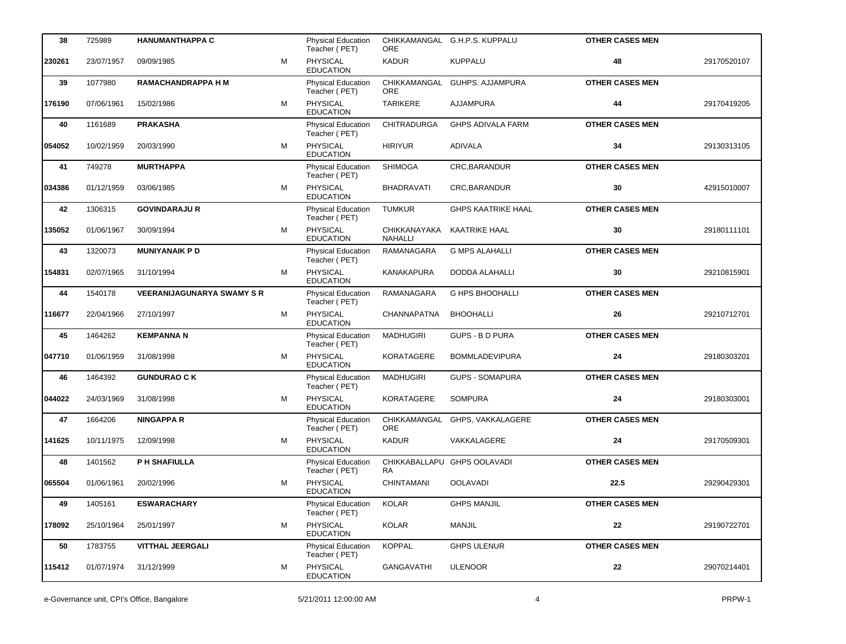| 38     | 725989     | <b>HANUMANTHAPPA C</b>            |   | <b>Physical Education</b><br>Teacher (PET) | <b>ORE</b>                     | CHIKKAMANGAL G.H.P.S. KUPPALU | <b>OTHER CASES MEN</b> |             |
|--------|------------|-----------------------------------|---|--------------------------------------------|--------------------------------|-------------------------------|------------------------|-------------|
| 230261 | 23/07/1957 | 09/09/1985                        | M | PHYSICAL<br><b>EDUCATION</b>               | <b>KADUR</b>                   | <b>KUPPALU</b>                | 48                     | 29170520107 |
| 39     | 1077980    | <b>RAMACHANDRAPPA H M</b>         |   | <b>Physical Education</b><br>Teacher (PET) | CHIKKAMANGAL<br>ORE            | <b>GUHPS. AJJAMPURA</b>       | <b>OTHER CASES MEN</b> |             |
| 176190 | 07/06/1961 | 15/02/1986                        | M | PHYSICAL<br><b>EDUCATION</b>               | <b>TARIKERE</b>                | <b>AJJAMPURA</b>              | 44                     | 29170419205 |
| 40     | 1161689    | <b>PRAKASHA</b>                   |   | <b>Physical Education</b><br>Teacher (PET) | <b>CHITRADURGA</b>             | <b>GHPS ADIVALA FARM</b>      | <b>OTHER CASES MEN</b> |             |
| 054052 | 10/02/1959 | 20/03/1990                        | M | <b>PHYSICAL</b><br><b>EDUCATION</b>        | <b>HIRIYUR</b>                 | <b>ADIVALA</b>                | 34                     | 29130313105 |
| 41     | 749278     | <b>MURTHAPPA</b>                  |   | <b>Physical Education</b><br>Teacher (PET) | <b>SHIMOGA</b>                 | CRC.BARANDUR                  | <b>OTHER CASES MEN</b> |             |
| 034386 | 01/12/1959 | 03/06/1985                        | м | PHYSICAL<br><b>EDUCATION</b>               | <b>BHADRAVATI</b>              | CRC, BARANDUR                 | 30                     | 42915010007 |
| 42     | 1306315    | <b>GOVINDARAJU R</b>              |   | <b>Physical Education</b><br>Teacher (PET) | <b>TUMKUR</b>                  | <b>GHPS KAATRIKE HAAL</b>     | <b>OTHER CASES MEN</b> |             |
| 135052 | 01/06/1967 | 30/09/1994                        | м | PHYSICAL<br><b>EDUCATION</b>               | CHIKKANAYAKA<br><b>NAHALLI</b> | <b>KAATRIKE HAAL</b>          | 30                     | 29180111101 |
| 43     | 1320073    | <b>MUNIYANAIK PD</b>              |   | <b>Physical Education</b><br>Teacher (PET) | RAMANAGARA                     | <b>G MPS ALAHALLI</b>         | <b>OTHER CASES MEN</b> |             |
| 154831 | 02/07/1965 | 31/10/1994                        | м | PHYSICAL<br><b>EDUCATION</b>               | <b>KANAKAPURA</b>              | DODDA ALAHALLI                | 30                     | 29210815901 |
| 44     | 1540178    | <b>VEERANIJAGUNARYA SWAMY S R</b> |   | <b>Physical Education</b><br>Teacher (PET) | RAMANAGARA                     | <b>G HPS BHOOHALLI</b>        | <b>OTHER CASES MEN</b> |             |
| 116677 | 22/04/1966 | 27/10/1997                        | M | PHYSICAL<br><b>EDUCATION</b>               | <b>CHANNAPATNA</b>             | <b>BHOOHALLI</b>              | 26                     | 29210712701 |
| 45     | 1464262    | <b>KEMPANNA N</b>                 |   | Physical Education<br>Teacher (PET)        | <b>MADHUGIRI</b>               | <b>GUPS - B D PURA</b>        | <b>OTHER CASES MEN</b> |             |
| 047710 | 01/06/1959 | 31/08/1998                        | м | PHYSICAL<br><b>EDUCATION</b>               | KORATAGERE                     | <b>BOMMLADEVIPURA</b>         | 24                     | 29180303201 |
| 46     | 1464392    | <b>GUNDURAO CK</b>                |   | <b>Physical Education</b><br>Teacher (PET) | <b>MADHUGIRI</b>               | <b>GUPS - SOMAPURA</b>        | <b>OTHER CASES MEN</b> |             |
| 044022 | 24/03/1969 | 31/08/1998                        | м | PHYSICAL<br><b>EDUCATION</b>               | KORATAGERE                     | <b>SOMPURA</b>                | 24                     | 29180303001 |
| 47     | 1664206    | <b>NINGAPPA R</b>                 |   | <b>Physical Education</b><br>Teacher (PET) | CHIKKAMANGAL<br>ORE            | GHPS, VAKKALAGERE             | <b>OTHER CASES MEN</b> |             |
| 141625 | 10/11/1975 | 12/09/1998                        | м | PHYSICAL<br><b>EDUCATION</b>               | <b>KADUR</b>                   | VAKKALAGERE                   | 24                     | 29170509301 |
| 48     | 1401562    | P H SHAFIULLA                     |   | <b>Physical Education</b><br>Teacher (PET) | RA                             | CHIKKABALLAPU GHPS OOLAVADI   | <b>OTHER CASES MEN</b> |             |
| 065504 | 01/06/1961 | 20/02/1996                        | м | PHYSICAL<br><b>EDUCATION</b>               | CHINTAMANI                     | <b>OOLAVADI</b>               | 22.5                   | 29290429301 |
| 49     | 1405161    | <b>ESWARACHARY</b>                |   | Physical Education<br>Teacher (PET)        | <b>KOLAR</b>                   | <b>GHPS MANJIL</b>            | <b>OTHER CASES MEN</b> |             |
| 178092 | 25/10/1964 | 25/01/1997                        | м | <b>PHYSICAL</b><br><b>EDUCATION</b>        | <b>KOLAR</b>                   | <b>MANJIL</b>                 | 22                     | 29190722701 |
| 50     | 1783755    | <b>VITTHAL JEERGALI</b>           |   | <b>Physical Education</b><br>Teacher (PET) | <b>KOPPAL</b>                  | <b>GHPS ULENUR</b>            | <b>OTHER CASES MEN</b> |             |
| 115412 | 01/07/1974 | 31/12/1999                        | М | PHYSICAL<br><b>EDUCATION</b>               | <b>GANGAVATHI</b>              | <b>ULENOOR</b>                | 22                     | 29070214401 |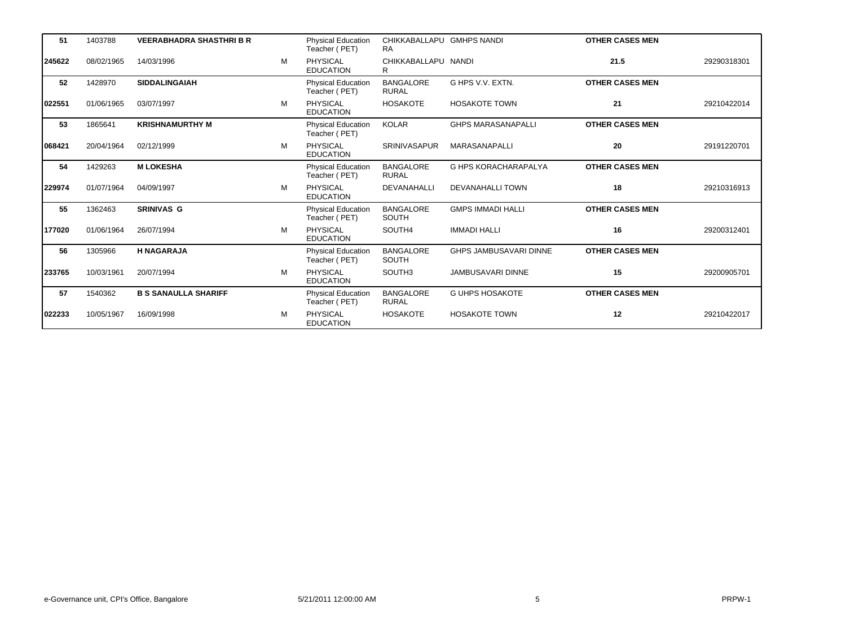| 51     | 1403788    | <b>VEERABHADRA SHASTHRI B R</b> |   | <b>Physical Education</b><br>Teacher (PET) | CHIKKABALLAPU GMHPS NANDI<br><b>RA</b> |                               | <b>OTHER CASES MEN</b> |             |
|--------|------------|---------------------------------|---|--------------------------------------------|----------------------------------------|-------------------------------|------------------------|-------------|
| 245622 | 08/02/1965 | 14/03/1996                      | M | <b>PHYSICAL</b><br><b>EDUCATION</b>        | CHIKKABALLAPU NANDI<br>R               |                               | 21.5                   | 29290318301 |
| 52     | 1428970    | <b>SIDDALINGAIAH</b>            |   | Physical Education<br>Teacher (PET)        | <b>BANGALORE</b><br><b>RURAL</b>       | G HPS V.V. EXTN.              | <b>OTHER CASES MEN</b> |             |
| 022551 | 01/06/1965 | 03/07/1997                      | M | <b>PHYSICAL</b><br><b>EDUCATION</b>        | <b>HOSAKOTE</b>                        | <b>HOSAKOTE TOWN</b>          | 21                     | 29210422014 |
| 53     | 1865641    | <b>KRISHNAMURTHY M</b>          |   | <b>Physical Education</b><br>Teacher (PET) | <b>KOLAR</b>                           | <b>GHPS MARASANAPALLI</b>     | <b>OTHER CASES MEN</b> |             |
| 068421 | 20/04/1964 | 02/12/1999                      | M | <b>PHYSICAL</b><br><b>EDUCATION</b>        | SRINIVASAPUR                           | <b>MARASANAPALLI</b>          | 20                     | 29191220701 |
| 54     | 1429263    | <b>M LOKESHA</b>                |   | <b>Physical Education</b><br>Teacher (PET) | <b>BANGALORE</b><br><b>RURAL</b>       | <b>G HPS KORACHARAPALYA</b>   | <b>OTHER CASES MEN</b> |             |
| 229974 | 01/07/1964 | 04/09/1997                      | M | <b>PHYSICAL</b><br><b>EDUCATION</b>        | <b>DEVANAHALLI</b>                     | <b>DEVANAHALLI TOWN</b>       | 18                     | 29210316913 |
| 55     | 1362463    | <b>SRINIVAS G</b>               |   | <b>Physical Education</b><br>Teacher (PET) | <b>BANGALORE</b><br>SOUTH              | <b>GMPS IMMADI HALLI</b>      | <b>OTHER CASES MEN</b> |             |
| 177020 | 01/06/1964 | 26/07/1994                      | M | PHYSICAL<br><b>EDUCATION</b>               | SOUTH4                                 | <b>IMMADI HALLI</b>           | 16                     | 29200312401 |
| 56     | 1305966    | <b>H NAGARAJA</b>               |   | <b>Physical Education</b><br>Teacher (PET) | <b>BANGALORE</b><br>SOUTH              | <b>GHPS JAMBUSAVARI DINNE</b> | <b>OTHER CASES MEN</b> |             |
| 233765 | 10/03/1961 | 20/07/1994                      | M | <b>PHYSICAL</b><br><b>EDUCATION</b>        | SOUTH3                                 | <b>JAMBUSAVARI DINNE</b>      | 15                     | 29200905701 |
| 57     | 1540362    | <b>B S SANAULLA SHARIFF</b>     |   | <b>Physical Education</b><br>Teacher (PET) | <b>BANGALORE</b><br><b>RURAL</b>       | <b>G UHPS HOSAKOTE</b>        | <b>OTHER CASES MEN</b> |             |
| 022233 | 10/05/1967 | 16/09/1998                      | M | <b>PHYSICAL</b><br><b>EDUCATION</b>        | <b>HOSAKOTE</b>                        | <b>HOSAKOTE TOWN</b>          | 12                     | 29210422017 |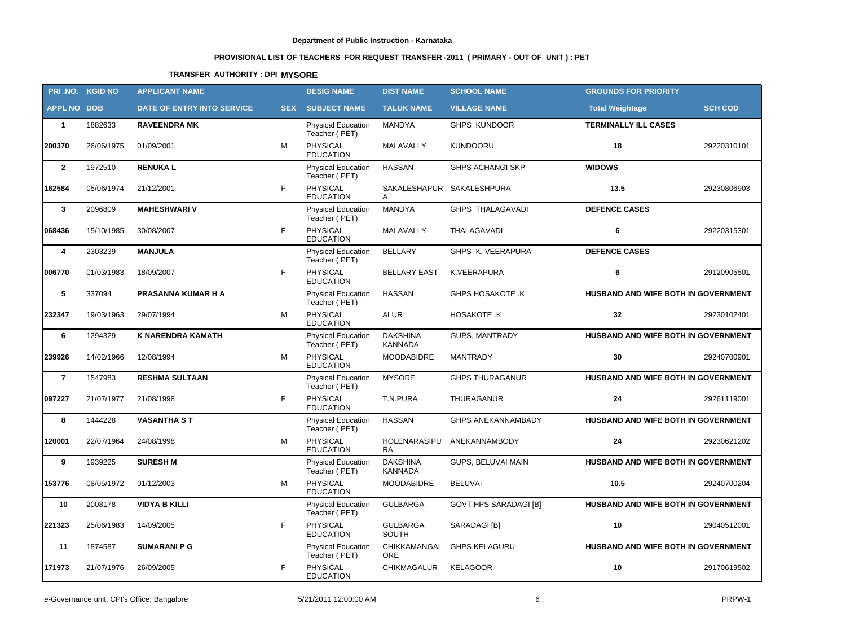# **PROVISIONAL LIST OF TEACHERS FOR REQUEST TRANSFER -2011 ( PRIMARY - OUT OF UNIT ) : PET**

## **TRANSFER AUTHORITY : DPI MYSORE**

| PRI.NO. KGID NO    |            | <b>APPLICANT NAME</b>      |            | <b>DESIG NAME</b>                          | <b>DIST NAME</b>                  | <b>SCHOOL NAME</b>           | <b>GROUNDS FOR PRIORITY</b>         |                |
|--------------------|------------|----------------------------|------------|--------------------------------------------|-----------------------------------|------------------------------|-------------------------------------|----------------|
| <b>APPL NO DOB</b> |            | DATE OF ENTRY INTO SERVICE | <b>SEX</b> | <b>SUBJECT NAME</b>                        | <b>TALUK NAME</b>                 | <b>VILLAGE NAME</b>          | <b>Total Weightage</b>              | <b>SCH COD</b> |
| $\mathbf{1}$       | 1882633    | <b>RAVEENDRA MK</b>        |            | <b>Physical Education</b><br>Teacher (PET) | MANDYA                            | <b>GHPS KUNDOOR</b>          | <b>TERMINALLY ILL CASES</b>         |                |
| 200370             | 26/06/1975 | 01/09/2001                 | M          | PHYSICAL<br><b>EDUCATION</b>               | MALAVALLY                         | <b>KUNDOORU</b>              | 18                                  | 29220310101    |
| $\overline{2}$     | 1972510    | <b>RENUKAL</b>             |            | <b>Physical Education</b><br>Teacher (PET) | <b>HASSAN</b>                     | <b>GHPS ACHANGI SKP</b>      | <b>WIDOWS</b>                       |                |
| 162584             | 05/06/1974 | 21/12/2001                 | F          | PHYSICAL<br><b>EDUCATION</b>               | A                                 | SAKALESHAPUR SAKALESHPURA    | 13.5                                | 29230806903    |
| $\mathbf{3}$       | 2096809    | <b>MAHESHWARI V</b>        |            | <b>Physical Education</b><br>Teacher (PET) | MANDYA                            | <b>GHPS THALAGAVADI</b>      | <b>DEFENCE CASES</b>                |                |
| 068436             | 15/10/1985 | 30/08/2007                 | F          | PHYSICAL<br><b>EDUCATION</b>               | MALAVALLY                         | THALAGAVADI                  | 6                                   | 29220315301    |
| 4                  | 2303239    | <b>MANJULA</b>             |            | Physical Education<br>Teacher (PET)        | <b>BELLARY</b>                    | GHPS K. VEERAPURA            | <b>DEFENCE CASES</b>                |                |
| 006770             | 01/03/1983 | 18/09/2007                 | F          | PHYSICAL<br><b>EDUCATION</b>               | <b>BELLARY EAST</b>               | K.VEERAPURA                  | 6                                   | 29120905501    |
| 5                  | 337094     | PRASANNA KUMAR H A         |            | Physical Education<br>Teacher (PET)        | <b>HASSAN</b>                     | <b>GHPS HOSAKOTE .K</b>      | HUSBAND AND WIFE BOTH IN GOVERNMENT |                |
| 232347             | 19/03/1963 | 29/07/1994                 | М          | PHYSICAL<br><b>EDUCATION</b>               | <b>ALUR</b>                       | HOSAKOTE .K                  | 32                                  | 29230102401    |
| 6                  | 1294329    | <b>K NARENDRA KAMATH</b>   |            | <b>Physical Education</b><br>Teacher (PET) | <b>DAKSHINA</b><br><b>KANNADA</b> | <b>GUPS, MANTRADY</b>        | HUSBAND AND WIFE BOTH IN GOVERNMENT |                |
| 239926             | 14/02/1966 | 12/08/1994                 | М          | <b>PHYSICAL</b><br><b>EDUCATION</b>        | <b>MOODABIDRE</b>                 | <b>MANTRADY</b>              | 30                                  | 29240700901    |
| $\overline{7}$     | 1547983    | <b>RESHMA SULTAAN</b>      |            | <b>Physical Education</b><br>Teacher (PET) | <b>MYSORE</b>                     | <b>GHPS THURAGANUR</b>       | HUSBAND AND WIFE BOTH IN GOVERNMENT |                |
| 097227             | 21/07/1977 | 21/08/1998                 | F          | <b>PHYSICAL</b><br><b>EDUCATION</b>        | T.N.PURA                          | THURAGANUR                   | 24                                  | 29261119001    |
| 8                  | 1444228    | <b>VASANTHA S T</b>        |            | Physical Education<br>Teacher (PET)        | <b>HASSAN</b>                     | <b>GHPS ANEKANNAMBADY</b>    | HUSBAND AND WIFE BOTH IN GOVERNMENT |                |
| 120001             | 22/07/1964 | 24/08/1998                 | М          | <b>PHYSICAL</b><br><b>EDUCATION</b>        | HOLENARASIPU<br><b>RA</b>         | ANEKANNAMBODY                | 24                                  | 29230621202    |
| 9                  | 1939225    | <b>SURESH M</b>            |            | <b>Physical Education</b><br>Teacher (PET) | <b>DAKSHINA</b><br><b>KANNADA</b> | GUPS, BELUVAI MAIN           | HUSBAND AND WIFE BOTH IN GOVERNMENT |                |
| 153776             | 08/05/1972 | 01/12/2003                 | м          | PHYSICAL<br><b>EDUCATION</b>               | <b>MOODABIDRE</b>                 | <b>BELUVAI</b>               | 10.5                                | 29240700204    |
| 10                 | 2008178    | <b>VIDYA B KILLI</b>       |            | <b>Physical Education</b><br>Teacher (PET) | <b>GULBARGA</b>                   | <b>GOVT HPS SARADAGI [B]</b> | HUSBAND AND WIFE BOTH IN GOVERNMENT |                |
| 221323             | 25/06/1983 | 14/09/2005                 | F          | PHYSICAL<br><b>EDUCATION</b>               | <b>GULBARGA</b><br>SOUTH          | SARADAGI [B]                 | 10                                  | 29040512001    |
| 11                 | 1874587    | <b>SUMARANI P G</b>        |            | <b>Physical Education</b><br>Teacher (PET) | CHIKKAMANGAL<br><b>ORE</b>        | <b>GHPS KELAGURU</b>         | HUSBAND AND WIFE BOTH IN GOVERNMENT |                |
| 171973             | 21/07/1976 | 26/09/2005                 | F          | <b>PHYSICAL</b><br><b>EDUCATION</b>        | CHIKMAGALUR                       | <b>KELAGOOR</b>              | 10                                  | 29170619502    |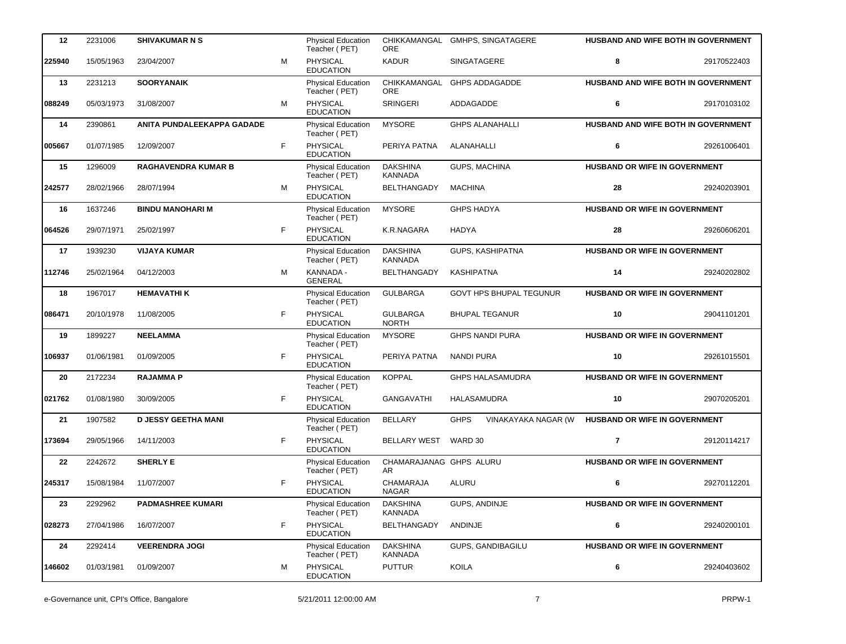| 12     | 2231006    | <b>SHIVAKUMAR N S</b>      |   | <b>Physical Education</b><br>Teacher (PET) | <b>ORE</b>                        | CHIKKAMANGAL GMHPS, SINGATAGERE    | HUSBAND AND WIFE BOTH IN GOVERNMENT  |             |
|--------|------------|----------------------------|---|--------------------------------------------|-----------------------------------|------------------------------------|--------------------------------------|-------------|
| 225940 | 15/05/1963 | 23/04/2007                 | M | <b>PHYSICAL</b><br><b>EDUCATION</b>        | <b>KADUR</b>                      | SINGATAGERE                        | 8                                    | 29170522403 |
| 13     | 2231213    | <b>SOORYANAIK</b>          |   | Physical Education<br>Teacher (PET)        | CHIKKAMANGAL<br><b>ORE</b>        | <b>GHPS ADDAGADDE</b>              | HUSBAND AND WIFE BOTH IN GOVERNMENT  |             |
| 088249 | 05/03/1973 | 31/08/2007                 | М | PHYSICAL<br><b>EDUCATION</b>               | <b>SRINGERI</b>                   | ADDAGADDE                          | 6                                    | 29170103102 |
| 14     | 2390861    | ANITA PUNDALEEKAPPA GADADE |   | <b>Physical Education</b><br>Teacher (PET) | <b>MYSORE</b>                     | <b>GHPS ALANAHALLI</b>             | HUSBAND AND WIFE BOTH IN GOVERNMENT  |             |
| 005667 | 01/07/1985 | 12/09/2007                 | F | <b>PHYSICAL</b><br><b>EDUCATION</b>        | PERIYA PATNA                      | ALANAHALLI                         | 6                                    | 29261006401 |
| 15     | 1296009    | <b>RAGHAVENDRA KUMAR B</b> |   | <b>Physical Education</b><br>Teacher (PET) | <b>DAKSHINA</b><br><b>KANNADA</b> | <b>GUPS, MACHINA</b>               | HUSBAND OR WIFE IN GOVERNMENT        |             |
| 242577 | 28/02/1966 | 28/07/1994                 | М | PHYSICAL<br><b>EDUCATION</b>               | BELTHANGADY                       | <b>MACHINA</b>                     | 28                                   | 29240203901 |
| 16     | 1637246    | <b>BINDU MANOHARI M</b>    |   | Physical Education<br>Teacher (PET)        | <b>MYSORE</b>                     | <b>GHPS HADYA</b>                  | HUSBAND OR WIFE IN GOVERNMENT        |             |
| 064526 | 29/07/1971 | 25/02/1997                 | F | PHYSICAL<br><b>EDUCATION</b>               | K.R.NAGARA                        | <b>HADYA</b>                       | 28                                   | 29260606201 |
| 17     | 1939230    | <b>VIJAYA KUMAR</b>        |   | <b>Physical Education</b><br>Teacher (PET) | <b>DAKSHINA</b><br><b>KANNADA</b> | GUPS, KASHIPATNA                   | HUSBAND OR WIFE IN GOVERNMENT        |             |
| 112746 | 25/02/1964 | 04/12/2003                 | M | KANNADA -<br><b>GENERAL</b>                | <b>BELTHANGADY</b>                | <b>KASHIPATNA</b>                  | 14                                   | 29240202802 |
| 18     | 1967017    | <b>HEMAVATHIK</b>          |   | <b>Physical Education</b><br>Teacher (PET) | <b>GULBARGA</b>                   | GOVT HPS BHUPAL TEGUNUR            | <b>HUSBAND OR WIFE IN GOVERNMENT</b> |             |
| 086471 | 20/10/1978 | 11/08/2005                 | F | PHYSICAL<br><b>EDUCATION</b>               | <b>GULBARGA</b><br><b>NORTH</b>   | <b>BHUPAL TEGANUR</b>              | 10                                   | 29041101201 |
| 19     | 1899227    | <b>NEELAMMA</b>            |   | Physical Education<br>Teacher (PET)        | <b>MYSORE</b>                     | <b>GHPS NANDI PURA</b>             | <b>HUSBAND OR WIFE IN GOVERNMENT</b> |             |
| 106937 | 01/06/1981 | 01/09/2005                 | F | PHYSICAL<br><b>EDUCATION</b>               | PERIYA PATNA                      | <b>NANDI PURA</b>                  | 10                                   | 29261015501 |
| 20     | 2172234    | <b>RAJAMMAP</b>            |   | Physical Education<br>Teacher (PET)        | <b>KOPPAL</b>                     | <b>GHPS HALASAMUDRA</b>            | HUSBAND OR WIFE IN GOVERNMENT        |             |
| 021762 | 01/08/1980 | 30/09/2005                 | F | PHYSICAL<br><b>EDUCATION</b>               | <b>GANGAVATHI</b>                 | HALASAMUDRA                        | 10                                   | 29070205201 |
| 21     | 1907582    | <b>D JESSY GEETHA MANI</b> |   | <b>Physical Education</b><br>Teacher (PET) | <b>BELLARY</b>                    | <b>GHPS</b><br>VINAKAYAKA NAGAR (W | HUSBAND OR WIFE IN GOVERNMENT        |             |
| 173694 | 29/05/1966 | 14/11/2003                 | F | PHYSICAL<br><b>EDUCATION</b>               | <b>BELLARY WEST</b>               | WARD 30                            | $\overline{7}$                       | 29120114217 |
| 22     | 2242672    | <b>SHERLY E</b>            |   | Physical Education<br>Teacher (PET)        | CHAMARAJANAG GHPS ALURU<br>AR     |                                    | <b>HUSBAND OR WIFE IN GOVERNMENT</b> |             |
| 245317 | 15/08/1984 | 11/07/2007                 | F | <b>PHYSICAL</b><br><b>EDUCATION</b>        | CHAMARAJA<br><b>NAGAR</b>         | ALURU                              | 6                                    | 29270112201 |
| 23     | 2292962    | <b>PADMASHREE KUMARI</b>   |   | Physical Education<br>Teacher (PET)        | <b>DAKSHINA</b><br><b>KANNADA</b> | GUPS, ANDINJE                      | <b>HUSBAND OR WIFE IN GOVERNMENT</b> |             |
| 028273 | 27/04/1986 | 16/07/2007                 | F | PHYSICAL<br><b>EDUCATION</b>               | BELTHANGADY                       | ANDINJE                            | 6                                    | 29240200101 |
| 24     | 2292414    | <b>VEERENDRA JOGI</b>      |   | <b>Physical Education</b><br>Teacher (PET) | <b>DAKSHINA</b><br><b>KANNADA</b> | GUPS, GANDIBAGILU                  | HUSBAND OR WIFE IN GOVERNMENT        |             |
| 146602 | 01/03/1981 | 01/09/2007                 | М | PHYSICAL<br><b>EDUCATION</b>               | <b>PUTTUR</b>                     | KOILA                              | 6                                    | 29240403602 |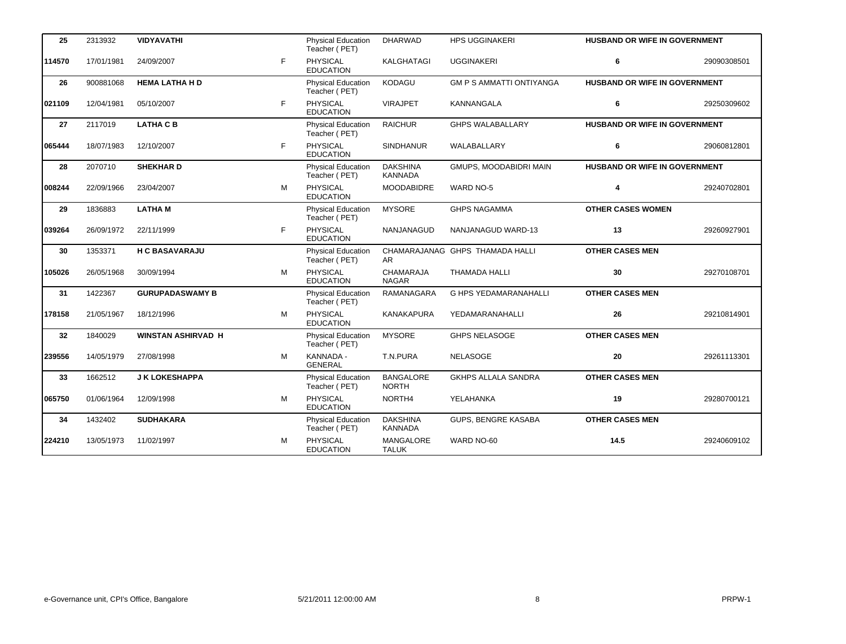| 25     | 2313932    | <b>VIDYAVATHI</b>         |    | Physical Education<br>Teacher (PET)        | <b>DHARWAD</b>                    | <b>HPS UGGINAKERI</b>           | <b>HUSBAND OR WIFE IN GOVERNMENT</b> |             |
|--------|------------|---------------------------|----|--------------------------------------------|-----------------------------------|---------------------------------|--------------------------------------|-------------|
| 114570 | 17/01/1981 | 24/09/2007                | F  | <b>PHYSICAL</b><br><b>EDUCATION</b>        | KALGHATAGI                        | <b>UGGINAKERI</b>               | 6                                    | 29090308501 |
| 26     | 900881068  | <b>HEMA LATHA H D</b>     |    | <b>Physical Education</b><br>Teacher (PET) | <b>KODAGU</b>                     | <b>GM P S AMMATTI ONTIYANGA</b> | HUSBAND OR WIFE IN GOVERNMENT        |             |
| 021109 | 12/04/1981 | 05/10/2007                | F  | <b>PHYSICAL</b><br><b>EDUCATION</b>        | <b>VIRAJPET</b>                   | <b>KANNANGALA</b>               | 6                                    | 29250309602 |
| 27     | 2117019    | <b>LATHA C B</b>          |    | <b>Physical Education</b><br>Teacher (PET) | <b>RAICHUR</b>                    | <b>GHPS WALABALLARY</b>         | HUSBAND OR WIFE IN GOVERNMENT        |             |
| 065444 | 18/07/1983 | 12/10/2007                | F  | PHYSICAL<br><b>EDUCATION</b>               | <b>SINDHANUR</b>                  | WALABALLARY                     | 6                                    | 29060812801 |
| 28     | 2070710    | <b>SHEKHARD</b>           |    | Physical Education<br>Teacher (PET)        | <b>DAKSHINA</b><br><b>KANNADA</b> | GMUPS, MOODABIDRI MAIN          | HUSBAND OR WIFE IN GOVERNMENT        |             |
| 008244 | 22/09/1966 | 23/04/2007                | M  | <b>PHYSICAL</b><br><b>EDUCATION</b>        | <b>MOODABIDRE</b>                 | <b>WARD NO-5</b>                | 4                                    | 29240702801 |
| 29     | 1836883    | <b>LATHAM</b>             |    | Physical Education<br>Teacher (PET)        | <b>MYSORE</b>                     | <b>GHPS NAGAMMA</b>             | <b>OTHER CASES WOMEN</b>             |             |
| 039264 | 26/09/1972 | 22/11/1999                | F. | PHYSICAL<br><b>EDUCATION</b>               | <b>NANJANAGUD</b>                 | NANJANAGUD WARD-13              | 13                                   | 29260927901 |
| 30     | 1353371    | <b>H C BASAVARAJU</b>     |    | Physical Education<br>Teacher (PET)        | AR.                               | CHAMARAJANAG GHPS THAMADA HALLI | <b>OTHER CASES MEN</b>               |             |
| 105026 | 26/05/1968 | 30/09/1994                | м  | <b>PHYSICAL</b><br><b>EDUCATION</b>        | <b>CHAMARAJA</b><br><b>NAGAR</b>  | THAMADA HALLI                   | 30                                   | 29270108701 |
| 31     | 1422367    | <b>GURUPADASWAMY B</b>    |    | <b>Physical Education</b><br>Teacher (PET) | RAMANAGARA                        | G HPS YEDAMARANAHALLI           | <b>OTHER CASES MEN</b>               |             |
| 178158 | 21/05/1967 | 18/12/1996                | M  | PHYSICAL<br><b>EDUCATION</b>               | <b>KANAKAPURA</b>                 | YEDAMARANAHALLI                 | 26                                   | 29210814901 |
| 32     | 1840029    | <b>WINSTAN ASHIRVAD H</b> |    | Physical Education<br>Teacher (PET)        | <b>MYSORE</b>                     | <b>GHPS NELASOGE</b>            | <b>OTHER CASES MEN</b>               |             |
| 239556 | 14/05/1979 | 27/08/1998                | M  | KANNADA -<br><b>GENERAL</b>                | T.N.PURA                          | <b>NELASOGE</b>                 | 20                                   | 29261113301 |
| 33     | 1662512    | <b>J K LOKESHAPPA</b>     |    | Physical Education<br>Teacher (PET)        | <b>BANGALORE</b><br><b>NORTH</b>  | <b>GKHPS ALLALA SANDRA</b>      | <b>OTHER CASES MEN</b>               |             |
| 065750 | 01/06/1964 | 12/09/1998                | M  | PHYSICAL<br><b>EDUCATION</b>               | NORTH4                            | YELAHANKA                       | 19                                   | 29280700121 |
| 34     | 1432402    | <b>SUDHAKARA</b>          |    | <b>Physical Education</b><br>Teacher (PET) | <b>DAKSHINA</b><br><b>KANNADA</b> | <b>GUPS, BENGRE KASABA</b>      | <b>OTHER CASES MEN</b>               |             |
| 224210 | 13/05/1973 | 11/02/1997                | M  | <b>PHYSICAL</b><br><b>EDUCATION</b>        | <b>MANGALORE</b><br><b>TALUK</b>  | WARD NO-60                      | 14.5                                 | 29240609102 |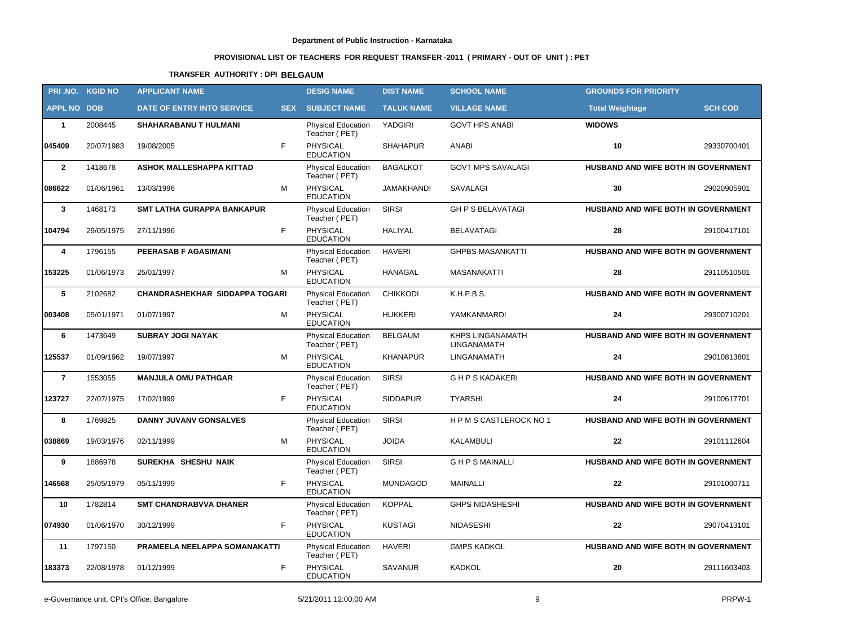# **PROVISIONAL LIST OF TEACHERS FOR REQUEST TRANSFER -2011 ( PRIMARY - OUT OF UNIT ) : PET**

# **TRANSFER AUTHORITY : DPI BELGAUM**

|                    | PRI.NO. KGID NO | <b>APPLICANT NAME</b>                 |            | <b>DESIG NAME</b>                          | <b>DIST NAME</b>  | <b>SCHOOL NAME</b>                     | <b>GROUNDS FOR PRIORITY</b>         |                |
|--------------------|-----------------|---------------------------------------|------------|--------------------------------------------|-------------------|----------------------------------------|-------------------------------------|----------------|
| <b>APPL NO DOB</b> |                 | DATE OF ENTRY INTO SERVICE            | <b>SEX</b> | <b>SUBJECT NAME</b>                        | <b>TALUK NAME</b> | <b>VILLAGE NAME</b>                    | <b>Total Weightage</b>              | <b>SCH COD</b> |
| $\mathbf{1}$       | 2008445         | <b>SHAHARABANU T HULMANI</b>          |            | <b>Physical Education</b><br>Teacher (PET) | YADGIRI           | <b>GOVT HPS ANABI</b>                  | <b>WIDOWS</b>                       |                |
| 045409             | 20/07/1983      | 19/08/2005                            | F          | PHYSICAL<br><b>EDUCATION</b>               | <b>SHAHAPUR</b>   | ANABI                                  | 10                                  | 29330700401    |
| $\overline{2}$     | 1418678         | ASHOK MALLESHAPPA KITTAD              |            | <b>Physical Education</b><br>Teacher (PET) | <b>BAGALKOT</b>   | <b>GOVT MPS SAVALAGI</b>               | HUSBAND AND WIFE BOTH IN GOVERNMENT |                |
| 086622             | 01/06/1961      | 13/03/1996                            | M          | PHYSICAL<br><b>EDUCATION</b>               | JAMAKHANDI        | SAVALAGI                               | 30                                  | 29020905901    |
| $\mathbf{3}$       | 1468173         | <b>SMT LATHA GURAPPA BANKAPUR</b>     |            | Physical Education<br>Teacher (PET)        | <b>SIRSI</b>      | <b>GH P S BELAVATAGI</b>               | HUSBAND AND WIFE BOTH IN GOVERNMENT |                |
| 104794             | 29/05/1975      | 27/11/1996                            | F          | PHYSICAL<br><b>EDUCATION</b>               | <b>HALIYAL</b>    | <b>BELAVATAGI</b>                      | 28                                  | 29100417101    |
| 4                  | 1796155         | <b>PEERASAB F AGASIMANI</b>           |            | <b>Physical Education</b><br>Teacher (PET) | <b>HAVERI</b>     | <b>GHPBS MASANKATTI</b>                | HUSBAND AND WIFE BOTH IN GOVERNMENT |                |
| 153225             | 01/06/1973      | 25/01/1997                            | M          | <b>PHYSICAL</b><br><b>EDUCATION</b>        | HANAGAL           | <b>MASANAKATTI</b>                     | 28                                  | 29110510501    |
| 5                  | 2102682         | <b>CHANDRASHEKHAR SIDDAPPA TOGARI</b> |            | <b>Physical Education</b><br>Teacher (PET) | <b>CHIKKODI</b>   | K.H.P.B.S.                             | HUSBAND AND WIFE BOTH IN GOVERNMENT |                |
| 003408             | 05/01/1971      | 01/07/1997                            | М          | PHYSICAL<br><b>EDUCATION</b>               | <b>HUKKERI</b>    | YAMKANMARDI                            | 24                                  | 29300710201    |
| 6                  | 1473649         | <b>SUBRAY JOGI NAYAK</b>              |            | <b>Physical Education</b><br>Teacher (PET) | <b>BELGAUM</b>    | <b>KHPS LINGANAMATH</b><br>LINGANAMATH | HUSBAND AND WIFE BOTH IN GOVERNMENT |                |
| 125537             | 01/09/1962      | 19/07/1997                            | M          | PHYSICAL<br><b>EDUCATION</b>               | <b>KHANAPUR</b>   | <b>LINGANAMATH</b>                     | 24                                  | 29010813801    |
| $\overline{7}$     | 1553055         | <b>MANJULA OMU PATHGAR</b>            |            | Physical Education<br>Teacher (PET)        | <b>SIRSI</b>      | <b>GHPS KADAKERI</b>                   | HUSBAND AND WIFE BOTH IN GOVERNMENT |                |
| 123727             | 22/07/1975      | 17/02/1999                            | F          | <b>PHYSICAL</b><br><b>EDUCATION</b>        | <b>SIDDAPUR</b>   | <b>TYARSHI</b>                         | 24                                  | 29100617701    |
| 8                  | 1769825         | <b>DANNY JUVANV GONSALVES</b>         |            | Physical Education<br>Teacher (PET)        | <b>SIRSI</b>      | HPMSCASTLEROCK NO 1                    | HUSBAND AND WIFE BOTH IN GOVERNMENT |                |
| 038869             | 19/03/1976      | 02/11/1999                            | М          | PHYSICAL<br><b>EDUCATION</b>               | <b>JOIDA</b>      | <b>KALAMBULI</b>                       | 22                                  | 29101112604    |
| 9                  | 1886978         | SUREKHA SHESHU NAIK                   |            | Physical Education<br>Teacher (PET)        | <b>SIRSI</b>      | <b>GHPSMAINALLI</b>                    | HUSBAND AND WIFE BOTH IN GOVERNMENT |                |
| 146568             | 25/05/1979      | 05/11/1999                            | F          | PHYSICAL<br><b>EDUCATION</b>               | <b>MUNDAGOD</b>   | MAINALLI                               | 22                                  | 29101000711    |
| 10                 | 1782814         | <b>SMT CHANDRABVVA DHANER</b>         |            | Physical Education KOPPAL<br>Teacher (PET) |                   | <b>GHPS NIDASHESHI</b>                 | HUSBAND AND WIFE BOTH IN GOVERNMENT |                |
| 074930             | 01/06/1970      | 30/12/1999                            | F          | PHYSICAL<br><b>EDUCATION</b>               | <b>KUSTAGI</b>    | NIDASESHI                              | 22                                  | 29070413101    |
| 11                 | 1797150         | PRAMEELA NEELAPPA SOMANAKATTI         |            | <b>Physical Education</b><br>Teacher (PET) | <b>HAVERI</b>     | <b>GMPS KADKOL</b>                     | HUSBAND AND WIFE BOTH IN GOVERNMENT |                |
| 183373             | 22/08/1978      | 01/12/1999                            | F.         | PHYSICAL<br><b>EDUCATION</b>               | <b>SAVANUR</b>    | KADKOL                                 | 20                                  | 29111603403    |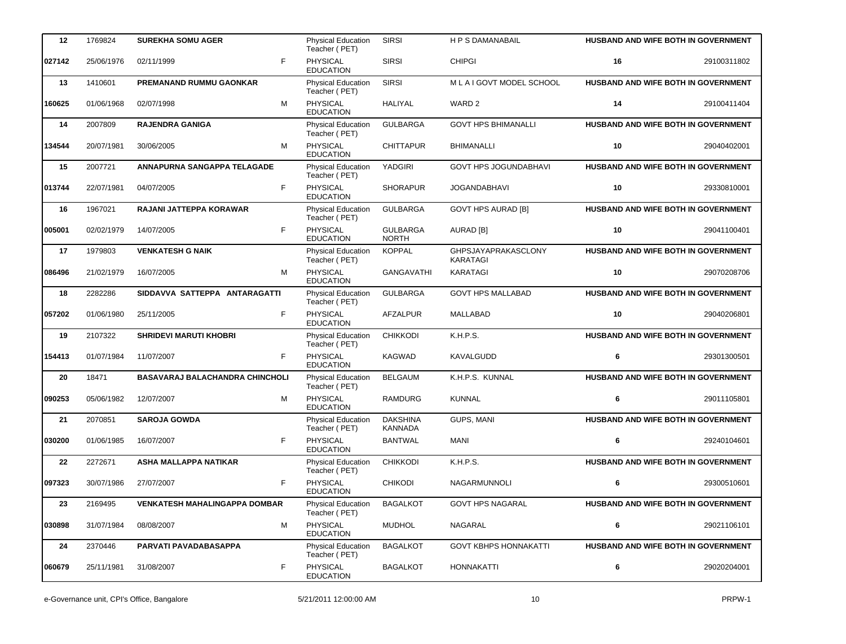| 12     | 1769824    | <b>SUREKHA SOMU AGER</b>             | Physical Education<br>Teacher (PET)        | <b>SIRSI</b>                      | <b>H P S DAMANABAIL</b>         | <b>HUSBAND AND WIFE BOTH IN GOVERNMENT</b> |             |
|--------|------------|--------------------------------------|--------------------------------------------|-----------------------------------|---------------------------------|--------------------------------------------|-------------|
| 027142 | 25/06/1976 | F<br>02/11/1999                      | <b>PHYSICAL</b><br><b>EDUCATION</b>        | <b>SIRSI</b>                      | <b>CHIPGI</b>                   | 16                                         | 29100311802 |
| 13     | 1410601    | <b>PREMANAND RUMMU GAONKAR</b>       | <b>Physical Education</b><br>Teacher (PET) | <b>SIRSI</b>                      | MLAIGOVT MODEL SCHOOL           | <b>HUSBAND AND WIFE BOTH IN GOVERNMENT</b> |             |
| 160625 | 01/06/1968 | M<br>02/07/1998                      | PHYSICAL<br><b>EDUCATION</b>               | <b>HALIYAL</b>                    | WARD <sub>2</sub>               | 14                                         | 29100411404 |
| 14     | 2007809    | <b>RAJENDRA GANIGA</b>               | <b>Physical Education</b><br>Teacher (PET) | <b>GULBARGA</b>                   | <b>GOVT HPS BHIMANALLI</b>      | <b>HUSBAND AND WIFE BOTH IN GOVERNMENT</b> |             |
| 134544 | 20/07/1981 | M<br>30/06/2005                      | <b>PHYSICAL</b><br><b>EDUCATION</b>        | <b>CHITTAPUR</b>                  | <b>BHIMANALLI</b>               | 10                                         | 29040402001 |
| 15     | 2007721    | ANNAPURNA SANGAPPA TELAGADE          | <b>Physical Education</b><br>Teacher (PET) | YADGIRI                           | <b>GOVT HPS JOGUNDABHAVI</b>    | HUSBAND AND WIFE BOTH IN GOVERNMENT        |             |
| 013744 | 22/07/1981 | F<br>04/07/2005                      | PHYSICAL<br><b>EDUCATION</b>               | <b>SHORAPUR</b>                   | <b>JOGANDABHAVI</b>             | 10                                         | 29330810001 |
| 16     | 1967021    | RAJANI JATTEPPA KORAWAR              | <b>Physical Education</b><br>Teacher (PET) | <b>GULBARGA</b>                   | <b>GOVT HPS AURAD [B]</b>       | HUSBAND AND WIFE BOTH IN GOVERNMENT        |             |
| 005001 | 02/02/1979 | F<br>14/07/2005                      | PHYSICAL<br><b>EDUCATION</b>               | <b>GULBARGA</b><br><b>NORTH</b>   | AURAD [B]                       | 10                                         | 29041100401 |
| 17     | 1979803    | <b>VENKATESH G NAIK</b>              | Physical Education<br>Teacher (PET)        | <b>KOPPAL</b>                     | GHPSJAYAPRAKASCLONY<br>KARATAGI | HUSBAND AND WIFE BOTH IN GOVERNMENT        |             |
| 086496 | 21/02/1979 | 16/07/2005<br>M                      | PHYSICAL<br><b>EDUCATION</b>               | <b>GANGAVATHI</b>                 | <b>KARATAGI</b>                 | 10                                         | 29070208706 |
| 18     | 2282286    | SIDDAVVA SATTEPPA ANTARAGATTI        | <b>Physical Education</b><br>Teacher (PET) | <b>GULBARGA</b>                   | <b>GOVT HPS MALLABAD</b>        | HUSBAND AND WIFE BOTH IN GOVERNMENT        |             |
| 057202 | 01/06/1980 | F<br>25/11/2005                      | PHYSICAL<br><b>EDUCATION</b>               | AFZALPUR                          | <b>MALLABAD</b>                 | 10                                         | 29040206801 |
| 19     | 2107322    | <b>SHRIDEVI MARUTI KHOBRI</b>        | Physical Education<br>Teacher (PET)        | <b>CHIKKODI</b>                   | K.H.P.S.                        | <b>HUSBAND AND WIFE BOTH IN GOVERNMENT</b> |             |
| 154413 | 01/07/1984 | 11/07/2007<br>F                      | <b>PHYSICAL</b><br><b>EDUCATION</b>        | <b>KAGWAD</b>                     | KAVALGUDD                       | 6                                          | 29301300501 |
| 20     | 18471      | BASAVARAJ BALACHANDRA CHINCHOLI      | Physical Education<br>Teacher (PET)        | <b>BELGAUM</b>                    | K.H.P.S. KUNNAL                 | HUSBAND AND WIFE BOTH IN GOVERNMENT        |             |
| 090253 | 05/06/1982 | M<br>12/07/2007                      | PHYSICAL<br><b>EDUCATION</b>               | <b>RAMDURG</b>                    | <b>KUNNAL</b>                   | 6                                          | 29011105801 |
| 21     | 2070851    | <b>SAROJA GOWDA</b>                  | Physical Education<br>Teacher (PET)        | <b>DAKSHINA</b><br><b>KANNADA</b> | <b>GUPS, MANI</b>               | HUSBAND AND WIFE BOTH IN GOVERNMENT        |             |
| 030200 | 01/06/1985 | 16/07/2007<br>F                      | <b>PHYSICAL</b><br><b>EDUCATION</b>        | <b>BANTWAL</b>                    | <b>MANI</b>                     | 6                                          | 29240104601 |
| 22     | 2272671    | ASHA MALLAPPA NATIKAR                | Physical Education<br>Teacher (PET)        | <b>CHIKKODI</b>                   | K.H.P.S.                        | <b>HUSBAND AND WIFE BOTH IN GOVERNMENT</b> |             |
| 097323 | 30/07/1986 | F<br>27/07/2007                      | <b>PHYSICAL</b><br><b>EDUCATION</b>        | <b>CHIKODI</b>                    | <b>NAGARMUNNOLI</b>             | 6                                          | 29300510601 |
| 23     | 2169495    | <b>VENKATESH MAHALINGAPPA DOMBAR</b> | <b>Physical Education</b><br>Teacher (PET) | <b>BAGALKOT</b>                   | <b>GOVT HPS NAGARAL</b>         | <b>HUSBAND AND WIFE BOTH IN GOVERNMENT</b> |             |
| 030898 | 31/07/1984 | M<br>08/08/2007                      | PHYSICAL<br><b>EDUCATION</b>               | <b>MUDHOL</b>                     | NAGARAL                         | 6                                          | 29021106101 |
| 24     | 2370446    | PARVATI PAVADABASAPPA                | <b>Physical Education</b><br>Teacher (PET) | <b>BAGALKOT</b>                   | <b>GOVT KBHPS HONNAKATTI</b>    | HUSBAND AND WIFE BOTH IN GOVERNMENT        |             |
| 060679 | 25/11/1981 | F<br>31/08/2007                      | <b>PHYSICAL</b><br><b>EDUCATION</b>        | <b>BAGALKOT</b>                   | <b>HONNAKATTI</b>               | 6                                          | 29020204001 |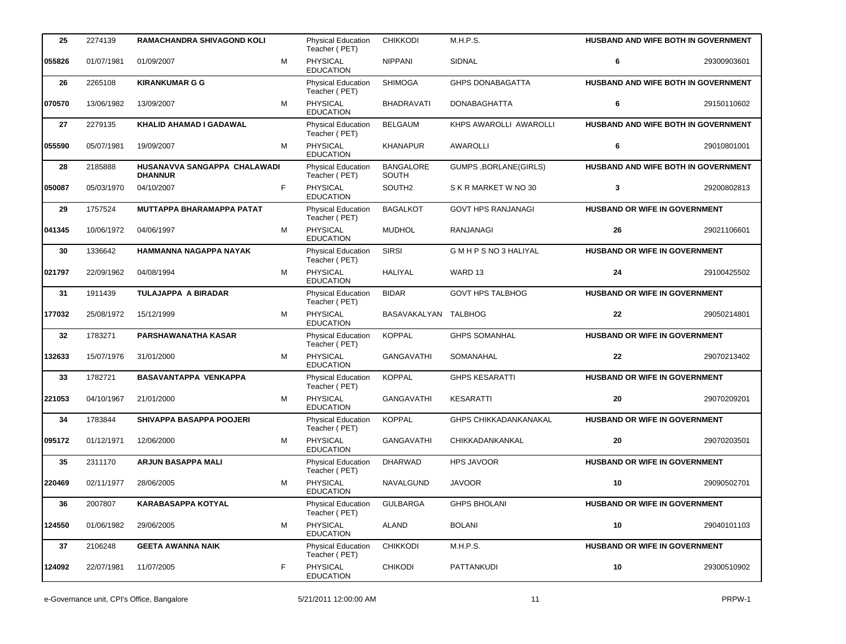| 25     | 2274139    | <b>RAMACHANDRA SHIVAGOND KOLI</b>              |    | <b>Physical Education</b><br>Teacher (PET) | <b>CHIKKODI</b>           | M.H.P.S.                     |                                      | HUSBAND AND WIFE BOTH IN GOVERNMENT        |
|--------|------------|------------------------------------------------|----|--------------------------------------------|---------------------------|------------------------------|--------------------------------------|--------------------------------------------|
| 055826 | 01/07/1981 | 01/09/2007                                     | M  | PHYSICAL<br><b>EDUCATION</b>               | <b>NIPPANI</b>            | SIDNAL                       | 6                                    | 29300903601                                |
| 26     | 2265108    | <b>KIRANKUMAR G G</b>                          |    | <b>Physical Education</b><br>Teacher (PET) | <b>SHIMOGA</b>            | <b>GHPS DONABAGATTA</b>      |                                      | HUSBAND AND WIFE BOTH IN GOVERNMENT        |
| 070570 | 13/06/1982 | 13/09/2007                                     | м  | PHYSICAL<br><b>EDUCATION</b>               | <b>BHADRAVATI</b>         | <b>DONABAGHATTA</b>          | 6                                    | 29150110602                                |
| 27     | 2279135    | <b>KHALID AHAMAD I GADAWAL</b>                 |    | <b>Physical Education</b><br>Teacher (PET) | <b>BELGAUM</b>            | KHPS AWAROLLI AWAROLLI       |                                      | <b>HUSBAND AND WIFE BOTH IN GOVERNMENT</b> |
| 055590 | 05/07/1981 | 19/09/2007                                     | M  | <b>PHYSICAL</b><br><b>EDUCATION</b>        | <b>KHANAPUR</b>           | <b>AWAROLLI</b>              | 6                                    | 29010801001                                |
| 28     | 2185888    | HUSANAVVA SANGAPPA CHALAWADI<br><b>DHANNUR</b> |    | Physical Education<br>Teacher (PET)        | <b>BANGALORE</b><br>SOUTH | <b>GUMPS, BORLANE(GIRLS)</b> |                                      | HUSBAND AND WIFE BOTH IN GOVERNMENT        |
| 050087 | 05/03/1970 | 04/10/2007                                     | F. | PHYSICAL<br><b>EDUCATION</b>               | SOUTH2                    | S K R MARKET W NO 30         | 3                                    | 29200802813                                |
| 29     | 1757524    | <b>MUTTAPPA BHARAMAPPA PATAT</b>               |    | Physical Education<br>Teacher (PET)        | <b>BAGALKOT</b>           | <b>GOVT HPS RANJANAGI</b>    | HUSBAND OR WIFE IN GOVERNMENT        |                                            |
| 041345 | 10/06/1972 | 04/06/1997                                     | M  | PHYSICAL<br><b>EDUCATION</b>               | <b>MUDHOL</b>             | <b>RANJANAGI</b>             | 26                                   | 29021106601                                |
| 30     | 1336642    | HAMMANNA NAGAPPA NAYAK                         |    | Physical Education<br>Teacher (PET)        | <b>SIRSI</b>              | GMHPSNO3HALIYAL              | HUSBAND OR WIFE IN GOVERNMENT        |                                            |
| 021797 | 22/09/1962 | 04/08/1994                                     | м  | PHYSICAL<br><b>EDUCATION</b>               | <b>HALIYAL</b>            | WARD 13                      | 24                                   | 29100425502                                |
| 31     | 1911439    | <b>TULAJAPPA A BIRADAR</b>                     |    | Physical Education<br>Teacher (PET)        | <b>BIDAR</b>              | <b>GOVT HPS TALBHOG</b>      | HUSBAND OR WIFE IN GOVERNMENT        |                                            |
| 177032 | 25/08/1972 | 15/12/1999                                     | M  | <b>PHYSICAL</b><br><b>EDUCATION</b>        | BASAVAKALYAN TALBHOG      |                              | 22                                   | 29050214801                                |
| 32     | 1783271    | <b>PARSHAWANATHA KASAR</b>                     |    | Physical Education<br>Teacher (PET)        | <b>KOPPAL</b>             | <b>GHPS SOMANHAL</b>         | <b>HUSBAND OR WIFE IN GOVERNMENT</b> |                                            |
| 132633 | 15/07/1976 | 31/01/2000                                     | м  | <b>PHYSICAL</b><br><b>EDUCATION</b>        | <b>GANGAVATHI</b>         | SOMANAHAL                    | 22                                   | 29070213402                                |
| 33     | 1782721    | <b>BASAVANTAPPA VENKAPPA</b>                   |    | Physical Education<br>Teacher (PET)        | <b>KOPPAL</b>             | <b>GHPS KESARATTI</b>        | HUSBAND OR WIFE IN GOVERNMENT        |                                            |
| 221053 | 04/10/1967 | 21/01/2000                                     | M  | PHYSICAL<br><b>EDUCATION</b>               | <b>GANGAVATHI</b>         | <b>KESARATTI</b>             | 20                                   | 29070209201                                |
| 34     | 1783844    | SHIVAPPA BASAPPA POOJERI                       |    | Physical Education<br>Teacher (PET)        | <b>KOPPAL</b>             | <b>GHPS CHIKKADANKANAKAL</b> | HUSBAND OR WIFE IN GOVERNMENT        |                                            |
| 095172 | 01/12/1971 | 12/06/2000                                     | м  | PHYSICAL<br><b>EDUCATION</b>               | <b>GANGAVATHI</b>         | CHIKKADANKANKAL              | 20                                   | 29070203501                                |
| 35     | 2311170    | <b>ARJUN BASAPPA MALI</b>                      |    | Physical Education<br>Teacher (PET)        | <b>DHARWAD</b>            | <b>HPS JAVOOR</b>            | <b>HUSBAND OR WIFE IN GOVERNMENT</b> |                                            |
| 220469 | 02/11/1977 | 28/06/2005                                     | М  | PHYSICAL<br><b>EDUCATION</b>               | NAVALGUND                 | <b>JAVOOR</b>                | 10                                   | 29090502701                                |
| 36     | 2007807    | <b>KARABASAPPA KOTYAL</b>                      |    | Physical Education<br>Teacher (PET)        | <b>GULBARGA</b>           | <b>GHPS BHOLANI</b>          | <b>HUSBAND OR WIFE IN GOVERNMENT</b> |                                            |
| 124550 | 01/06/1982 | 29/06/2005                                     | м  | PHYSICAL<br><b>EDUCATION</b>               | <b>ALAND</b>              | <b>BOLANI</b>                | 10                                   | 29040101103                                |
| 37     | 2106248    | <b>GEETA AWANNA NAIK</b>                       |    | <b>Physical Education</b><br>Teacher (PET) | <b>CHIKKODI</b>           | M.H.P.S.                     | <b>HUSBAND OR WIFE IN GOVERNMENT</b> |                                            |
| 124092 | 22/07/1981 | 11/07/2005                                     | F  | PHYSICAL<br><b>EDUCATION</b>               | <b>CHIKODI</b>            | PATTANKUDI                   | 10                                   | 29300510902                                |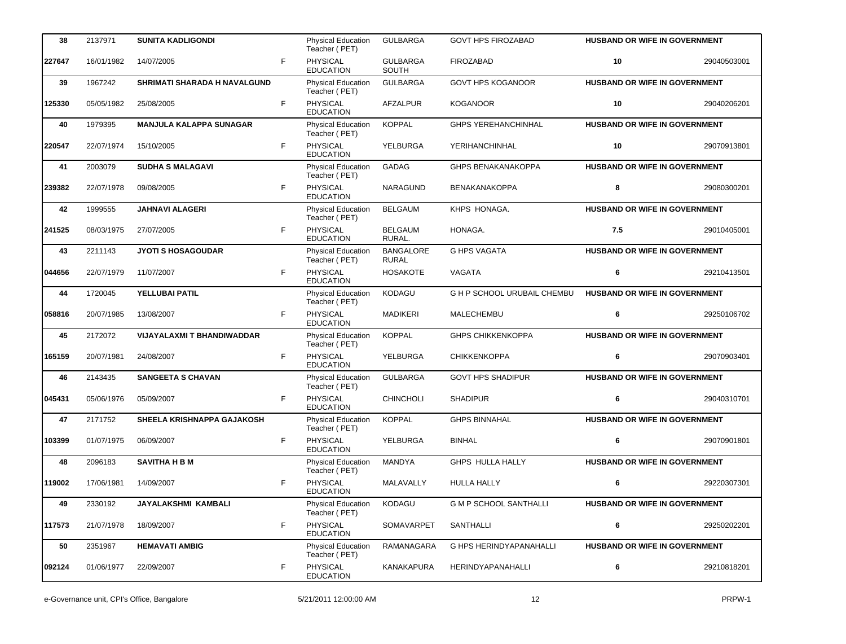| 38     | 2137971    | <b>SUNITA KADLIGONDI</b>            |    | <b>Physical Education</b><br>Teacher (PET) | <b>GULBARGA</b>                  | <b>GOVT HPS FIROZABAD</b>     | <b>HUSBAND OR WIFE IN GOVERNMENT</b> |             |
|--------|------------|-------------------------------------|----|--------------------------------------------|----------------------------------|-------------------------------|--------------------------------------|-------------|
| 227647 | 16/01/1982 | 14/07/2005                          | F  | <b>PHYSICAL</b><br><b>EDUCATION</b>        | <b>GULBARGA</b><br>SOUTH         | <b>FIROZABAD</b>              | 10                                   | 29040503001 |
| 39     | 1967242    | <b>SHRIMATI SHARADA H NAVALGUND</b> |    | <b>Physical Education</b><br>Teacher (PET) | <b>GULBARGA</b>                  | <b>GOVT HPS KOGANOOR</b>      | HUSBAND OR WIFE IN GOVERNMENT        |             |
| 125330 | 05/05/1982 | 25/08/2005                          | F. | <b>PHYSICAL</b><br><b>EDUCATION</b>        | <b>AFZALPUR</b>                  | <b>KOGANOOR</b>               | 10                                   | 29040206201 |
| 40     | 1979395    | <b>MANJULA KALAPPA SUNAGAR</b>      |    | <b>Physical Education</b><br>Teacher (PET) | <b>KOPPAL</b>                    | <b>GHPS YEREHANCHINHAL</b>    | HUSBAND OR WIFE IN GOVERNMENT        |             |
| 220547 | 22/07/1974 | 15/10/2005                          | F  | PHYSICAL<br><b>EDUCATION</b>               | YELBURGA                         | YERIHANCHINHAL                | 10                                   | 29070913801 |
| 41     | 2003079    | <b>SUDHA S MALAGAVI</b>             |    | Physical Education<br>Teacher (PET)        | GADAG                            | <b>GHPS BENAKANAKOPPA</b>     | HUSBAND OR WIFE IN GOVERNMENT        |             |
| 239382 | 22/07/1978 | 09/08/2005                          | F  | <b>PHYSICAL</b><br><b>EDUCATION</b>        | <b>NARAGUND</b>                  | <b>BENAKANAKOPPA</b>          | 8                                    | 29080300201 |
| 42     | 1999555    | <b>JAHNAVI ALAGERI</b>              |    | <b>Physical Education</b><br>Teacher (PET) | <b>BELGAUM</b>                   | KHPS HONAGA.                  | HUSBAND OR WIFE IN GOVERNMENT        |             |
| 241525 | 08/03/1975 | 27/07/2005                          | F  | PHYSICAL<br><b>EDUCATION</b>               | <b>BELGAUM</b><br>RURAL.         | HONAGA.                       | 7.5                                  | 29010405001 |
| 43     | 2211143    | <b>JYOTI S HOSAGOUDAR</b>           |    | <b>Physical Education</b><br>Teacher (PET) | <b>BANGALORE</b><br><b>RURAL</b> | <b>G HPS VAGATA</b>           | <b>HUSBAND OR WIFE IN GOVERNMENT</b> |             |
| 044656 | 22/07/1979 | 11/07/2007                          | F  | PHYSICAL<br><b>EDUCATION</b>               | <b>HOSAKOTE</b>                  | VAGATA                        | 6                                    | 29210413501 |
| 44     | 1720045    | YELLUBAI PATIL                      |    | <b>Physical Education</b><br>Teacher (PET) | KODAGU                           | G H P SCHOOL URUBAIL CHEMBU   | HUSBAND OR WIFE IN GOVERNMENT        |             |
| 058816 | 20/07/1985 | 13/08/2007                          | F  | PHYSICAL<br><b>EDUCATION</b>               | <b>MADIKERI</b>                  | MALECHEMBU                    | 6                                    | 29250106702 |
| 45     | 2172072    | <b>VIJAYALAXMI T BHANDIWADDAR</b>   |    | <b>Physical Education</b><br>Teacher (PET) | <b>KOPPAL</b>                    | <b>GHPS CHIKKENKOPPA</b>      | <b>HUSBAND OR WIFE IN GOVERNMENT</b> |             |
| 165159 | 20/07/1981 | 24/08/2007                          | F  | <b>PHYSICAL</b><br><b>EDUCATION</b>        | YELBURGA                         | <b>CHIKKENKOPPA</b>           | 6                                    | 29070903401 |
| 46     | 2143435    | <b>SANGEETA S CHAVAN</b>            |    | <b>Physical Education</b><br>Teacher (PET) | <b>GULBARGA</b>                  | <b>GOVT HPS SHADIPUR</b>      | HUSBAND OR WIFE IN GOVERNMENT        |             |
| 045431 | 05/06/1976 | 05/09/2007                          | F  | PHYSICAL<br><b>EDUCATION</b>               | <b>CHINCHOLI</b>                 | <b>SHADIPUR</b>               | 6                                    | 29040310701 |
| 47     | 2171752    | SHEELA KRISHNAPPA GAJAKOSH          |    | <b>Physical Education</b><br>Teacher (PET) | <b>KOPPAL</b>                    | <b>GHPS BINNAHAL</b>          | HUSBAND OR WIFE IN GOVERNMENT        |             |
| 103399 | 01/07/1975 | 06/09/2007                          | F  | PHYSICAL<br><b>EDUCATION</b>               | YELBURGA                         | <b>BINHAL</b>                 | 6                                    | 29070901801 |
| 48     | 2096183    | <b>SAVITHA H B M</b>                |    | <b>Physical Education</b><br>Teacher (PET) | MANDYA                           | GHPS HULLA HALLY              | <b>HUSBAND OR WIFE IN GOVERNMENT</b> |             |
| 119002 | 17/06/1981 | 14/09/2007                          | F  | PHYSICAL<br><b>EDUCATION</b>               | MALAVALLY                        | <b>HULLA HALLY</b>            | 6                                    | 29220307301 |
| 49     | 2330192    | JAYALAKSHMI KAMBALI                 |    | <b>Physical Education</b><br>Teacher (PET) | <b>KODAGU</b>                    | <b>G M P SCHOOL SANTHALLI</b> | <b>HUSBAND OR WIFE IN GOVERNMENT</b> |             |
| 117573 | 21/07/1978 | 18/09/2007                          | F  | <b>PHYSICAL</b><br><b>EDUCATION</b>        | SOMAVARPET                       | SANTHALLI                     | 6                                    | 29250202201 |
| 50     | 2351967    | <b>HEMAVATI AMBIG</b>               |    | <b>Physical Education</b><br>Teacher (PET) | RAMANAGARA                       | G HPS HERINDYAPANAHALLI       | <b>HUSBAND OR WIFE IN GOVERNMENT</b> |             |
| 092124 | 01/06/1977 | 22/09/2007                          | F  | PHYSICAL<br><b>EDUCATION</b>               | KANAKAPURA                       | <b>HERINDYAPANAHALLI</b>      | 6                                    | 29210818201 |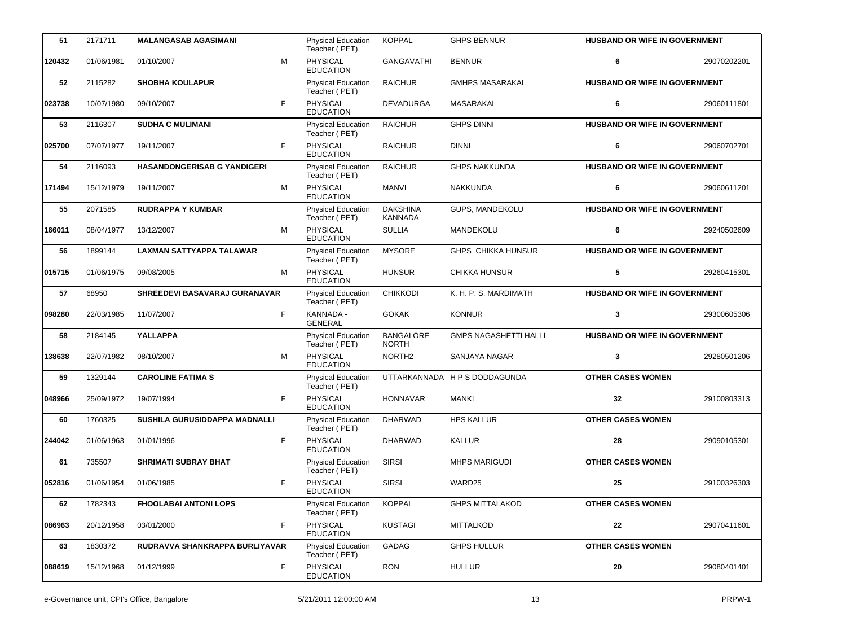| 51     | 2171711    | <b>MALANGASAB AGASIMANI</b>          |    | Physical Education<br>Teacher (PET)        | <b>KOPPAL</b>                     | <b>GHPS BENNUR</b>            | HUSBAND OR WIFE IN GOVERNMENT        |             |
|--------|------------|--------------------------------------|----|--------------------------------------------|-----------------------------------|-------------------------------|--------------------------------------|-------------|
| 120432 | 01/06/1981 | 01/10/2007                           | M  | PHYSICAL<br><b>EDUCATION</b>               | <b>GANGAVATHI</b>                 | <b>BENNUR</b>                 | 6                                    | 29070202201 |
| 52     | 2115282    | <b>SHOBHA KOULAPUR</b>               |    | <b>Physical Education</b><br>Teacher (PET) | <b>RAICHUR</b>                    | <b>GMHPS MASARAKAL</b>        | HUSBAND OR WIFE IN GOVERNMENT        |             |
| 023738 | 10/07/1980 | 09/10/2007                           | F  | PHYSICAL<br><b>EDUCATION</b>               | <b>DEVADURGA</b>                  | MASARAKAL                     | 6                                    | 29060111801 |
| 53     | 2116307    | <b>SUDHA C MULIMANI</b>              |    | Physical Education<br>Teacher (PET)        | <b>RAICHUR</b>                    | <b>GHPS DINNI</b>             | HUSBAND OR WIFE IN GOVERNMENT        |             |
| 025700 | 07/07/1977 | 19/11/2007                           | F  | <b>PHYSICAL</b><br><b>EDUCATION</b>        | <b>RAICHUR</b>                    | <b>DINNI</b>                  | 6                                    | 29060702701 |
| 54     | 2116093    | <b>HASANDONGERISAB G YANDIGERI</b>   |    | Physical Education<br>Teacher (PET)        | <b>RAICHUR</b>                    | <b>GHPS NAKKUNDA</b>          | <b>HUSBAND OR WIFE IN GOVERNMENT</b> |             |
| 171494 | 15/12/1979 | 19/11/2007                           | M  | <b>PHYSICAL</b><br><b>EDUCATION</b>        | <b>MANVI</b>                      | NAKKUNDA                      | 6                                    | 29060611201 |
| 55     | 2071585    | <b>RUDRAPPA Y KUMBAR</b>             |    | <b>Physical Education</b><br>Teacher (PET) | <b>DAKSHINA</b><br><b>KANNADA</b> | GUPS, MANDEKOLU               | HUSBAND OR WIFE IN GOVERNMENT        |             |
| 166011 | 08/04/1977 | 13/12/2007                           | м  | PHYSICAL<br><b>EDUCATION</b>               | <b>SULLIA</b>                     | MANDEKOLU                     | 6                                    | 29240502609 |
| 56     | 1899144    | <b>LAXMAN SATTYAPPA TALAWAR</b>      |    | Physical Education<br>Teacher (PET)        | <b>MYSORE</b>                     | <b>GHPS CHIKKA HUNSUR</b>     | <b>HUSBAND OR WIFE IN GOVERNMENT</b> |             |
| 015715 | 01/06/1975 | 09/08/2005                           | м  | PHYSICAL<br><b>EDUCATION</b>               | <b>HUNSUR</b>                     | <b>CHIKKA HUNSUR</b>          | 5                                    | 29260415301 |
| 57     | 68950      | <b>SHREEDEVI BASAVARAJ GURANAVAR</b> |    | Physical Education<br>Teacher (PET)        | <b>CHIKKODI</b>                   | K. H. P. S. MARDIMATH         | <b>HUSBAND OR WIFE IN GOVERNMENT</b> |             |
| 098280 | 22/03/1985 | 11/07/2007                           | F. | KANNADA -<br><b>GENERAL</b>                | <b>GOKAK</b>                      | <b>KONNUR</b>                 | 3                                    | 29300605306 |
| 58     | 2184145    | <b>YALLAPPA</b>                      |    | Physical Education<br>Teacher (PET)        | <b>BANGALORE</b><br><b>NORTH</b>  | <b>GMPS NAGASHETTI HALLI</b>  | HUSBAND OR WIFE IN GOVERNMENT        |             |
| 138638 | 22/07/1982 | 08/10/2007                           | м  | PHYSICAL<br><b>EDUCATION</b>               | NORTH <sub>2</sub>                | SANJAYA NAGAR                 | 3                                    | 29280501206 |
| 59     | 1329144    | <b>CAROLINE FATIMA S</b>             |    | Physical Education<br>Teacher (PET)        |                                   | UTTARKANNADA H P S DODDAGUNDA | <b>OTHER CASES WOMEN</b>             |             |
| 048966 | 25/09/1972 | 19/07/1994                           | F  | PHYSICAL<br><b>EDUCATION</b>               | <b>HONNAVAR</b>                   | <b>MANKI</b>                  | 32                                   | 29100803313 |
| 60     | 1760325    | SUSHILA GURUSIDDAPPA MADNALLI        |    | Physical Education<br>Teacher (PET)        | DHARWAD                           | <b>HPS KALLUR</b>             | <b>OTHER CASES WOMEN</b>             |             |
| 244042 | 01/06/1963 | 01/01/1996                           | F  | PHYSICAL<br><b>EDUCATION</b>               | <b>DHARWAD</b>                    | <b>KALLUR</b>                 | 28                                   | 29090105301 |
| 61     | 735507     | <b>SHRIMATI SUBRAY BHAT</b>          |    | Physical Education<br>Teacher (PET)        | <b>SIRSI</b>                      | <b>MHPS MARIGUDI</b>          | <b>OTHER CASES WOMEN</b>             |             |
| 052816 | 01/06/1954 | 01/06/1985                           | F  | PHYSICAL<br><b>EDUCATION</b>               | <b>SIRSI</b>                      | WARD25                        | 25                                   | 29100326303 |
| 62     | 1782343    | <b>FHOOLABAI ANTONI LOPS</b>         |    | Physical Education<br>Teacher (PET)        | <b>KOPPAL</b>                     | <b>GHPS MITTALAKOD</b>        | <b>OTHER CASES WOMEN</b>             |             |
| 086963 | 20/12/1958 | 03/01/2000                           | F  | <b>PHYSICAL</b><br><b>EDUCATION</b>        | <b>KUSTAGI</b>                    | <b>MITTALKOD</b>              | 22                                   | 29070411601 |
| 63     | 1830372    | RUDRAVVA SHANKRAPPA BURLIYAVAR       |    | Physical Education<br>Teacher (PET)        | GADAG                             | <b>GHPS HULLUR</b>            | <b>OTHER CASES WOMEN</b>             |             |
| 088619 | 15/12/1968 | 01/12/1999                           | F  | <b>PHYSICAL</b><br><b>EDUCATION</b>        | <b>RON</b>                        | <b>HULLUR</b>                 | 20                                   | 29080401401 |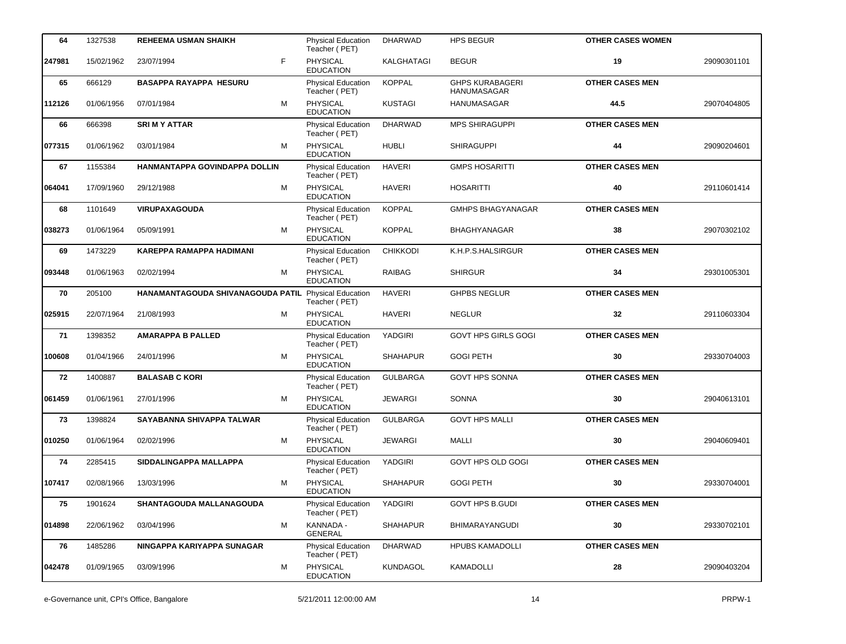| 64     | 1327538    | <b>REHEEMA USMAN SHAIKH</b>       | Physical Education<br>Teacher (PET)        | <b>DHARWAD</b>  | <b>HPS BEGUR</b>                             | <b>OTHER CASES WOMEN</b> |             |
|--------|------------|-----------------------------------|--------------------------------------------|-----------------|----------------------------------------------|--------------------------|-------------|
| 247981 | 15/02/1962 | F<br>23/07/1994                   | <b>PHYSICAL</b><br><b>EDUCATION</b>        | KALGHATAGI      | <b>BEGUR</b>                                 | 19                       | 29090301101 |
| 65     | 666129     | <b>BASAPPA RAYAPPA HESURU</b>     | <b>Physical Education</b><br>Teacher (PET) | <b>KOPPAL</b>   | <b>GHPS KURABAGERI</b><br><b>HANUMASAGAR</b> | <b>OTHER CASES MEN</b>   |             |
| 112126 | 01/06/1956 | M<br>07/01/1984                   | <b>PHYSICAL</b><br><b>EDUCATION</b>        | <b>KUSTAGI</b>  | HANUMASAGAR                                  | 44.5                     | 29070404805 |
| 66     | 666398     | <b>SRIMY ATTAR</b>                | <b>Physical Education</b><br>Teacher (PET) | <b>DHARWAD</b>  | <b>MPS SHIRAGUPPI</b>                        | <b>OTHER CASES MEN</b>   |             |
| 077315 | 01/06/1962 | M<br>03/01/1984                   | <b>PHYSICAL</b><br><b>EDUCATION</b>        | <b>HUBLI</b>    | <b>SHIRAGUPPI</b>                            | 44                       | 29090204601 |
| 67     | 1155384    | HANMANTAPPA GOVINDAPPA DOLLIN     | <b>Physical Education</b><br>Teacher (PET) | <b>HAVERI</b>   | <b>GMPS HOSARITTI</b>                        | <b>OTHER CASES MEN</b>   |             |
| 064041 | 17/09/1960 | М<br>29/12/1988                   | <b>PHYSICAL</b><br><b>EDUCATION</b>        | <b>HAVERI</b>   | <b>HOSARITTI</b>                             | 40                       | 29110601414 |
| 68     | 1101649    | <b>VIRUPAXAGOUDA</b>              | <b>Physical Education</b><br>Teacher (PET) | <b>KOPPAL</b>   | <b>GMHPS BHAGYANAGAR</b>                     | <b>OTHER CASES MEN</b>   |             |
| 038273 | 01/06/1964 | M<br>05/09/1991                   | <b>PHYSICAL</b><br><b>EDUCATION</b>        | <b>KOPPAL</b>   | <b>BHAGHYANAGAR</b>                          | 38                       | 29070302102 |
| 69     | 1473229    | <b>KAREPPA RAMAPPA HADIMANI</b>   | <b>Physical Education</b><br>Teacher (PET) | <b>CHIKKODI</b> | K.H.P.S.HALSIRGUR                            | <b>OTHER CASES MEN</b>   |             |
| 093448 | 01/06/1963 | М<br>02/02/1994                   | PHYSICAL<br><b>EDUCATION</b>               | <b>RAIBAG</b>   | <b>SHIRGUR</b>                               | 34                       | 29301005301 |
| 70     | 205100     | HANAMANTAGOUDA SHIVANAGOUDA PATIL | <b>Physical Education</b><br>Teacher (PET) | <b>HAVERI</b>   | <b>GHPBS NEGLUR</b>                          | <b>OTHER CASES MEN</b>   |             |
| 025915 | 22/07/1964 | M<br>21/08/1993                   | <b>PHYSICAL</b><br><b>EDUCATION</b>        | <b>HAVERI</b>   | <b>NEGLUR</b>                                | 32                       | 29110603304 |
| 71     | 1398352    | <b>AMARAPPA B PALLED</b>          | Physical Education<br>Teacher (PET)        | YADGIRI         | <b>GOVT HPS GIRLS GOGI</b>                   | <b>OTHER CASES MEN</b>   |             |
| 100608 | 01/04/1966 | M<br>24/01/1996                   | PHYSICAL<br><b>EDUCATION</b>               | <b>SHAHAPUR</b> | <b>GOGI PETH</b>                             | 30                       | 29330704003 |
| 72     | 1400887    | <b>BALASAB C KORI</b>             | Physical Education<br>Teacher (PET)        | <b>GULBARGA</b> | <b>GOVT HPS SONNA</b>                        | <b>OTHER CASES MEN</b>   |             |
| 061459 | 01/06/1961 | M<br>27/01/1996                   | PHYSICAL<br><b>EDUCATION</b>               | <b>JEWARGI</b>  | SONNA                                        | 30                       | 29040613101 |
| 73     | 1398824    | SAYABANNA SHIVAPPA TALWAR         | Physical Education<br>Teacher (PET)        | <b>GULBARGA</b> | <b>GOVT HPS MALLI</b>                        | <b>OTHER CASES MEN</b>   |             |
| 010250 | 01/06/1964 | 02/02/1996<br>м                   | PHYSICAL<br><b>EDUCATION</b>               | <b>JEWARGI</b>  | <b>MALLI</b>                                 | 30                       | 29040609401 |
| 74     | 2285415    | SIDDALINGAPPA MALLAPPA            | Physical Education<br>Teacher (PET)        | YADGIRI         | GOVT HPS OLD GOGI                            | <b>OTHER CASES MEN</b>   |             |
| 107417 | 02/08/1966 | 13/03/1996<br>М                   | PHYSICAL<br><b>EDUCATION</b>               | <b>SHAHAPUR</b> | <b>GOGI PETH</b>                             | 30                       | 29330704001 |
| 75     | 1901624    | SHANTAGOUDA MALLANAGOUDA          | Physical Education<br>Teacher (PET)        | YADGIRI         | GOVT HPS B.GUDI                              | <b>OTHER CASES MEN</b>   |             |
| 014898 | 22/06/1962 | 03/04/1996<br>м                   | KANNADA -<br><b>GENERAL</b>                | <b>SHAHAPUR</b> | <b>BHIMARAYANGUDI</b>                        | 30                       | 29330702101 |
| 76     | 1485286    | NINGAPPA KARIYAPPA SUNAGAR        | Physical Education<br>Teacher (PET)        | <b>DHARWAD</b>  | <b>HPUBS KAMADOLLI</b>                       | <b>OTHER CASES MEN</b>   |             |
| 042478 | 01/09/1965 | 03/09/1996<br>М                   | <b>PHYSICAL</b><br><b>EDUCATION</b>        | <b>KUNDAGOL</b> | KAMADOLLI                                    | 28                       | 29090403204 |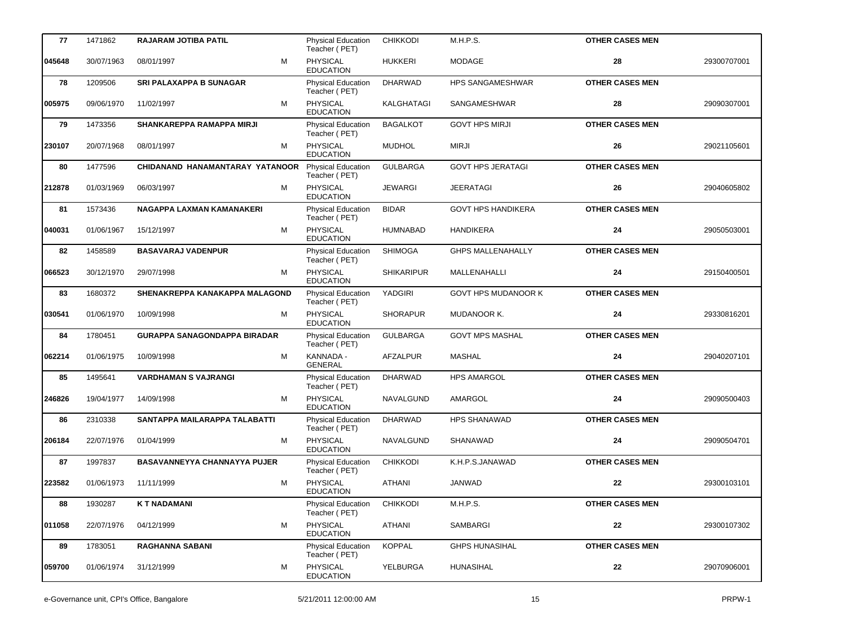| 77     | 1471862    | RAJARAM JOTIBA PATIL                | <b>Physical Education</b><br>Teacher (PET) | <b>CHIKKODI</b>   | M.H.P.S.                   | <b>OTHER CASES MEN</b> |             |
|--------|------------|-------------------------------------|--------------------------------------------|-------------------|----------------------------|------------------------|-------------|
| 045648 | 30/07/1963 | M<br>08/01/1997                     | <b>PHYSICAL</b><br><b>EDUCATION</b>        | <b>HUKKERI</b>    | <b>MODAGE</b>              | 28                     | 29300707001 |
| 78     | 1209506    | <b>SRI PALAXAPPA B SUNAGAR</b>      | <b>Physical Education</b><br>Teacher (PET) | <b>DHARWAD</b>    | <b>HPS SANGAMESHWAR</b>    | <b>OTHER CASES MEN</b> |             |
| 005975 | 09/06/1970 | M<br>11/02/1997                     | PHYSICAL<br><b>EDUCATION</b>               | KALGHATAGI        | SANGAMESHWAR               | 28                     | 29090307001 |
| 79     | 1473356    | SHANKAREPPA RAMAPPA MIRJI           | Physical Education<br>Teacher (PET)        | <b>BAGALKOT</b>   | <b>GOVT HPS MIRJI</b>      | <b>OTHER CASES MEN</b> |             |
| 230107 | 20/07/1968 | M<br>08/01/1997                     | <b>PHYSICAL</b><br><b>EDUCATION</b>        | <b>MUDHOL</b>     | <b>MIRJI</b>               | 26                     | 29021105601 |
| 80     | 1477596    | CHIDANAND HANAMANTARAY YATANOOR     | <b>Physical Education</b><br>Teacher (PET) | <b>GULBARGA</b>   | <b>GOVT HPS JERATAGI</b>   | <b>OTHER CASES MEN</b> |             |
| 212878 | 01/03/1969 | M<br>06/03/1997                     | <b>PHYSICAL</b><br><b>EDUCATION</b>        | <b>JEWARGI</b>    | <b>JEERATAGI</b>           | 26                     | 29040605802 |
| 81     | 1573436    | NAGAPPA LAXMAN KAMANAKERI           | <b>Physical Education</b><br>Teacher (PET) | <b>BIDAR</b>      | <b>GOVT HPS HANDIKERA</b>  | <b>OTHER CASES MEN</b> |             |
| 040031 | 01/06/1967 | M<br>15/12/1997                     | <b>PHYSICAL</b><br><b>EDUCATION</b>        | HUMNABAD          | <b>HANDIKERA</b>           | 24                     | 29050503001 |
| 82     | 1458589    | <b>BASAVARAJ VADENPUR</b>           | <b>Physical Education</b><br>Teacher (PET) | <b>SHIMOGA</b>    | <b>GHPS MALLENAHALLY</b>   | <b>OTHER CASES MEN</b> |             |
| 066523 | 30/12/1970 | M<br>29/07/1998                     | <b>PHYSICAL</b><br><b>EDUCATION</b>        | <b>SHIKARIPUR</b> | MALLENAHALLI               | 24                     | 29150400501 |
| 83     | 1680372    | SHENAKREPPA KANAKAPPA MALAGOND      | <b>Physical Education</b><br>Teacher (PET) | YADGIRI           | <b>GOVT HPS MUDANOOR K</b> | <b>OTHER CASES MEN</b> |             |
| 030541 | 01/06/1970 | M<br>10/09/1998                     | <b>PHYSICAL</b><br><b>EDUCATION</b>        | <b>SHORAPUR</b>   | MUDANOOR K.                | 24                     | 29330816201 |
| 84     | 1780451    | <b>GURAPPA SANAGONDAPPA BIRADAR</b> | <b>Physical Education</b><br>Teacher (PET) | <b>GULBARGA</b>   | <b>GOVT MPS MASHAL</b>     | <b>OTHER CASES MEN</b> |             |
| 062214 | 01/06/1975 | М<br>10/09/1998                     | KANNADA -<br><b>GENERAL</b>                | AFZALPUR          | <b>MASHAL</b>              | 24                     | 29040207101 |
| 85     | 1495641    | <b>VARDHAMAN S VAJRANGI</b>         | <b>Physical Education</b><br>Teacher (PET) | <b>DHARWAD</b>    | <b>HPS AMARGOL</b>         | <b>OTHER CASES MEN</b> |             |
| 246826 | 19/04/1977 | M<br>14/09/1998                     | <b>PHYSICAL</b><br><b>EDUCATION</b>        | NAVALGUND         | AMARGOL                    | 24                     | 29090500403 |
| 86     | 2310338    | SANTAPPA MAILARAPPA TALABATTI       | Physical Education<br>Teacher (PET)        | <b>DHARWAD</b>    | <b>HPS SHANAWAD</b>        | <b>OTHER CASES MEN</b> |             |
| 206184 | 22/07/1976 | M<br>01/04/1999                     | PHYSICAL<br><b>EDUCATION</b>               | NAVALGUND         | SHANAWAD                   | 24                     | 29090504701 |
| 87     | 1997837    | BASAVANNEYYA CHANNAYYA PUJER        | Physical Education<br>Teacher (PET)        | <b>CHIKKODI</b>   | K.H.P.S.JANAWAD            | <b>OTHER CASES MEN</b> |             |
| 223582 | 01/06/1973 | M<br>11/11/1999                     | PHYSICAL<br><b>EDUCATION</b>               | ATHANI            | <b>JANWAD</b>              | 22                     | 29300103101 |
| 88     | 1930287    | <b>KT NADAMANI</b>                  | Physical Education<br>Teacher (PET)        | <b>CHIKKODI</b>   | M.H.P.S.                   | <b>OTHER CASES MEN</b> |             |
| 011058 | 22/07/1976 | 04/12/1999<br>М                     | PHYSICAL<br><b>EDUCATION</b>               | <b>ATHANI</b>     | SAMBARGI                   | 22                     | 29300107302 |
| 89     | 1783051    | <b>RAGHANNA SABANI</b>              | <b>Physical Education</b><br>Teacher (PET) | <b>KOPPAL</b>     | <b>GHPS HUNASIHAL</b>      | <b>OTHER CASES MEN</b> |             |
| 059700 | 01/06/1974 | 31/12/1999<br>М                     | PHYSICAL<br><b>EDUCATION</b>               | YELBURGA          | HUNASIHAL                  | 22                     | 29070906001 |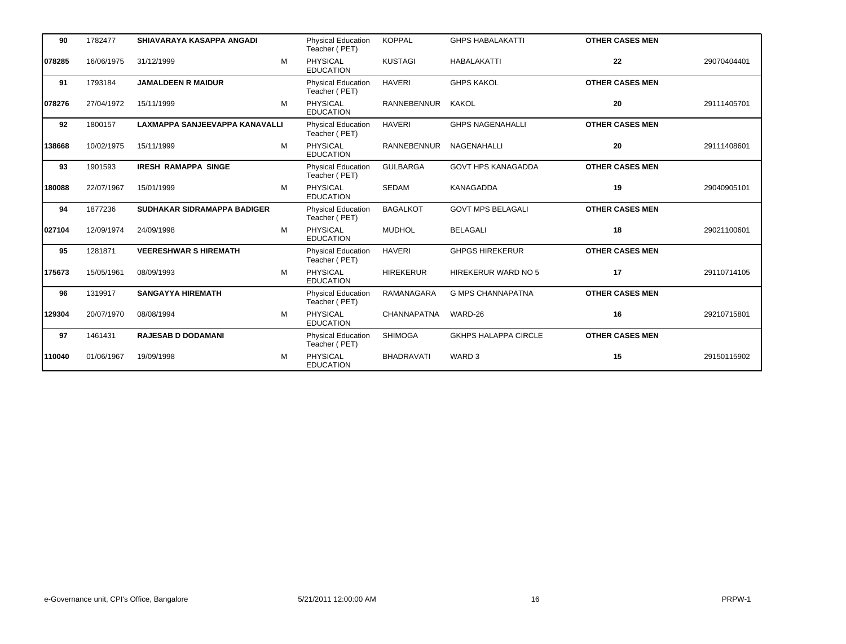| 90     | 1782477    | SHIAVARAYA KASAPPA ANGADI      |   | <b>Physical Education</b><br>Teacher (PET) | <b>KOPPAL</b>     | <b>GHPS HABALAKATTI</b>     | <b>OTHER CASES MEN</b> |             |
|--------|------------|--------------------------------|---|--------------------------------------------|-------------------|-----------------------------|------------------------|-------------|
| 078285 | 16/06/1975 | 31/12/1999                     | M | <b>PHYSICAL</b><br><b>EDUCATION</b>        | <b>KUSTAGI</b>    | <b>HABALAKATTI</b>          | 22                     | 29070404401 |
| 91     | 1793184    | <b>JAMALDEEN R MAIDUR</b>      |   | <b>Physical Education</b><br>Teacher (PET) | <b>HAVERI</b>     | <b>GHPS KAKOL</b>           | <b>OTHER CASES MEN</b> |             |
| 078276 | 27/04/1972 | 15/11/1999                     | M | PHYSICAL<br><b>EDUCATION</b>               | RANNEBENNUR       | KAKOL                       | 20                     | 29111405701 |
| 92     | 1800157    | LAXMAPPA SANJEEVAPPA KANAVALLI |   | <b>Physical Education</b><br>Teacher (PET) | <b>HAVERI</b>     | <b>GHPS NAGENAHALLI</b>     | <b>OTHER CASES MEN</b> |             |
| 138668 | 10/02/1975 | 15/11/1999                     | M | <b>PHYSICAL</b><br><b>EDUCATION</b>        | RANNEBENNUR       | NAGENAHALLI                 | 20                     | 29111408601 |
| 93     | 1901593    | <b>IRESH RAMAPPA SINGE</b>     |   | <b>Physical Education</b><br>Teacher (PET) | <b>GULBARGA</b>   | <b>GOVT HPS KANAGADDA</b>   | <b>OTHER CASES MEN</b> |             |
| 180088 | 22/07/1967 | 15/01/1999                     | M | PHYSICAL<br><b>EDUCATION</b>               | <b>SEDAM</b>      | <b>KANAGADDA</b>            | 19                     | 29040905101 |
| 94     | 1877236    | SUDHAKAR SIDRAMAPPA BADIGER    |   | <b>Physical Education</b><br>Teacher (PET) | <b>BAGALKOT</b>   | <b>GOVT MPS BELAGALI</b>    | <b>OTHER CASES MEN</b> |             |
| 027104 | 12/09/1974 | 24/09/1998                     | M | <b>PHYSICAL</b><br><b>EDUCATION</b>        | <b>MUDHOL</b>     | <b>BELAGALI</b>             | 18                     | 29021100601 |
| 95     | 1281871    | <b>VEERESHWAR S HIREMATH</b>   |   | <b>Physical Education</b><br>Teacher (PET) | <b>HAVERI</b>     | <b>GHPGS HIREKERUR</b>      | <b>OTHER CASES MEN</b> |             |
| 175673 | 15/05/1961 | 08/09/1993                     | M | <b>PHYSICAL</b><br><b>EDUCATION</b>        | <b>HIREKERUR</b>  | HIREKERUR WARD NO 5         | 17                     | 29110714105 |
| 96     | 1319917    | <b>SANGAYYA HIREMATH</b>       |   | <b>Physical Education</b><br>Teacher (PET) | <b>RAMANAGARA</b> | <b>G MPS CHANNAPATNA</b>    | <b>OTHER CASES MEN</b> |             |
| 129304 | 20/07/1970 | 08/08/1994                     | M | PHYSICAL<br><b>EDUCATION</b>               | CHANNAPATNA       | WARD-26                     | 16                     | 29210715801 |
| 97     | 1461431    | <b>RAJESAB D DODAMANI</b>      |   | <b>Physical Education</b><br>Teacher (PET) | <b>SHIMOGA</b>    | <b>GKHPS HALAPPA CIRCLE</b> | <b>OTHER CASES MEN</b> |             |
| 110040 | 01/06/1967 | 19/09/1998                     | M | <b>PHYSICAL</b><br><b>EDUCATION</b>        | <b>BHADRAVATI</b> | WARD <sub>3</sub>           | 15                     | 29150115902 |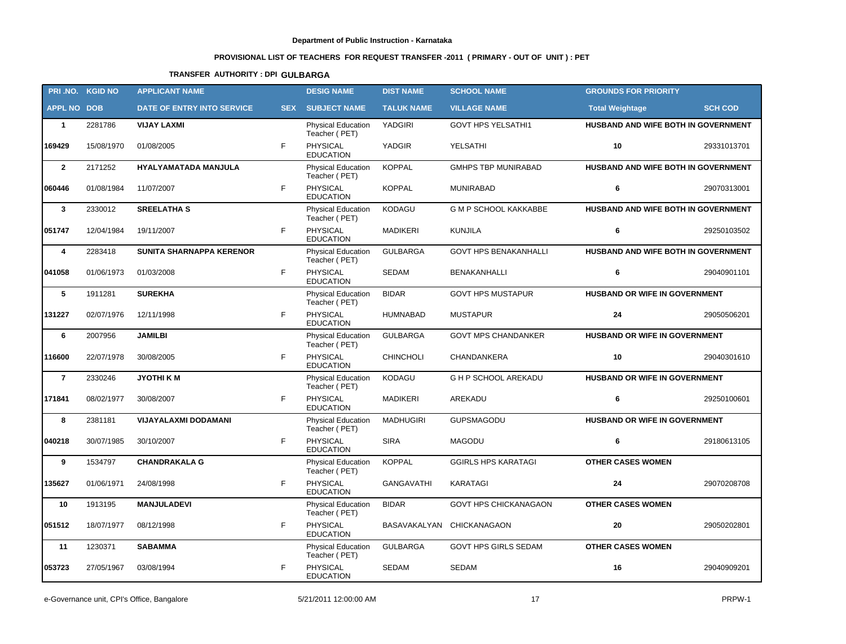# **PROVISIONAL LIST OF TEACHERS FOR REQUEST TRANSFER -2011 ( PRIMARY - OUT OF UNIT ) : PET**

## **TRANSFER AUTHORITY : DPI GULBARGA**

|                    | PRI.NO. KGID NO | <b>APPLICANT NAME</b>           |            | <b>DESIG NAME</b>                          | <b>DIST NAME</b>  | <b>SCHOOL NAME</b>           | <b>GROUNDS FOR PRIORITY</b>         |                |
|--------------------|-----------------|---------------------------------|------------|--------------------------------------------|-------------------|------------------------------|-------------------------------------|----------------|
| <b>APPL NO DOB</b> |                 | DATE OF ENTRY INTO SERVICE      | <b>SEX</b> | <b>SUBJECT NAME</b>                        | <b>TALUK NAME</b> | <b>VILLAGE NAME</b>          | <b>Total Weightage</b>              | <b>SCH COD</b> |
| $\mathbf{1}$       | 2281786         | <b>VIJAY LAXMI</b>              |            | <b>Physical Education</b><br>Teacher (PET) | YADGIRI           | <b>GOVT HPS YELSATHI1</b>    | HUSBAND AND WIFE BOTH IN GOVERNMENT |                |
| 169429             | 15/08/1970      | 01/08/2005                      | F          | PHYSICAL<br><b>EDUCATION</b>               | YADGIR            | YELSATHI                     | 10                                  | 29331013701    |
| $\overline{2}$     | 2171252         | HYALYAMATADA MANJULA            |            | Physical Education<br>Teacher (PET)        | <b>KOPPAL</b>     | <b>GMHPS TBP MUNIRABAD</b>   | HUSBAND AND WIFE BOTH IN GOVERNMENT |                |
| 060446             | 01/08/1984      | 11/07/2007                      | F          | PHYSICAL<br><b>EDUCATION</b>               | <b>KOPPAL</b>     | <b>MUNIRABAD</b>             | 6                                   | 29070313001    |
| $\mathbf{3}$       | 2330012         | <b>SREELATHA S</b>              |            | <b>Physical Education</b><br>Teacher (PET) | KODAGU            | <b>G M P SCHOOL KAKKABBE</b> | HUSBAND AND WIFE BOTH IN GOVERNMENT |                |
| 051747             | 12/04/1984      | 19/11/2007                      | F          | PHYSICAL<br><b>EDUCATION</b>               | <b>MADIKERI</b>   | <b>KUNJILA</b>               | 6                                   | 29250103502    |
| 4                  | 2283418         | <b>SUNITA SHARNAPPA KERENOR</b> |            | <b>Physical Education</b><br>Teacher (PET) | <b>GULBARGA</b>   | <b>GOVT HPS BENAKANHALLI</b> | HUSBAND AND WIFE BOTH IN GOVERNMENT |                |
| 041058             | 01/06/1973      | 01/03/2008                      | F          | <b>PHYSICAL</b><br><b>EDUCATION</b>        | <b>SEDAM</b>      | <b>BENAKANHALLI</b>          | 6                                   | 29040901101    |
| 5                  | 1911281         | <b>SUREKHA</b>                  |            | <b>Physical Education</b><br>Teacher (PET) | <b>BIDAR</b>      | <b>GOVT HPS MUSTAPUR</b>     | HUSBAND OR WIFE IN GOVERNMENT       |                |
| 131227             | 02/07/1976      | 12/11/1998                      | F          | <b>PHYSICAL</b><br><b>EDUCATION</b>        | <b>HUMNABAD</b>   | <b>MUSTAPUR</b>              | 24                                  | 29050506201    |
| 6                  | 2007956         | <b>JAMILBI</b>                  |            | Physical Education<br>Teacher (PET)        | <b>GULBARGA</b>   | <b>GOVT MPS CHANDANKER</b>   | HUSBAND OR WIFE IN GOVERNMENT       |                |
| 116600             | 22/07/1978      | 30/08/2005                      | F          | PHYSICAL<br><b>EDUCATION</b>               | <b>CHINCHOLI</b>  | CHANDANKERA                  | 10                                  | 29040301610    |
| $\overline{7}$     | 2330246         | <b>JYOTHIKM</b>                 |            | <b>Physical Education</b><br>Teacher (PET) | KODAGU            | G H P SCHOOL AREKADU         | HUSBAND OR WIFE IN GOVERNMENT       |                |
| 171841             | 08/02/1977      | 30/08/2007                      | F          | PHYSICAL<br><b>EDUCATION</b>               | <b>MADIKERI</b>   | AREKADU                      | 6                                   | 29250100601    |
| 8                  | 2381181         | <b>VIJAYALAXMI DODAMANI</b>     |            | <b>Physical Education</b><br>Teacher (PET) | <b>MADHUGIRI</b>  | GUPSMAGODU                   | HUSBAND OR WIFE IN GOVERNMENT       |                |
| 040218             | 30/07/1985      | 30/10/2007                      | F.         | PHYSICAL<br><b>EDUCATION</b>               | <b>SIRA</b>       | <b>MAGODU</b>                | 6                                   | 29180613105    |
| 9                  | 1534797         | <b>CHANDRAKALA G</b>            |            | Physical Education<br>Teacher (PET)        | <b>KOPPAL</b>     | <b>GGIRLS HPS KARATAGI</b>   | <b>OTHER CASES WOMEN</b>            |                |
| 135627             | 01/06/1971      | 24/08/1998                      | F          | PHYSICAL<br><b>EDUCATION</b>               | <b>GANGAVATHI</b> | <b>KARATAGI</b>              | 24                                  | 29070208708    |
| 10                 | 1913195         | <b>MANJULADEVI</b>              |            | <b>Physical Education</b><br>Teacher (PET) | <b>BIDAR</b>      | GOVT HPS CHICKANAGAON        | <b>OTHER CASES WOMEN</b>            |                |
| 051512             | 18/07/1977      | 08/12/1998                      | F.         | PHYSICAL<br><b>EDUCATION</b>               |                   | BASAVAKALYAN CHICKANAGAON    | 20                                  | 29050202801    |
| 11                 | 1230371         | <b>SABAMMA</b>                  |            | <b>Physical Education</b><br>Teacher (PET) | <b>GULBARGA</b>   | GOVT HPS GIRLS SEDAM         | <b>OTHER CASES WOMEN</b>            |                |
| 053723             | 27/05/1967      | 03/08/1994                      | F.         | PHYSICAL<br><b>EDUCATION</b>               | SEDAM             | <b>SEDAM</b>                 | 16                                  | 29040909201    |